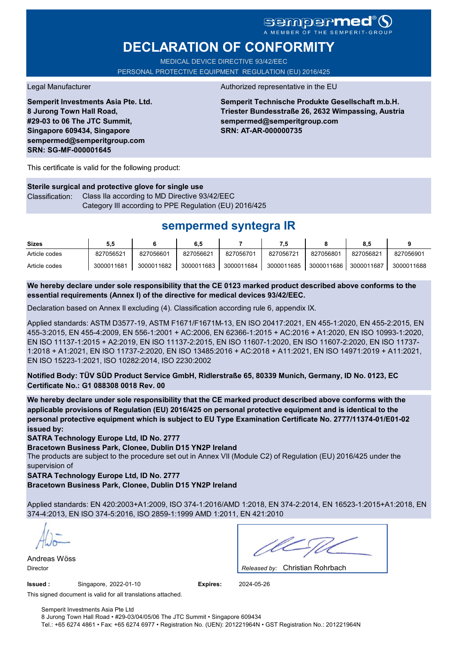# **DECLARATION OF CONFORMITY**

MEDICAL DEVICE DIRECTIVE 93/42/EEC PERSONAL PROTECTIVE EQUIPMENT REGULATION (EU) 2016/425

**Semperit Investments Asia Pte. Ltd. 8 Jurong Town Hall Road, #29-03 to 06 The JTC Summit, Singapore 609434, Singapore sempermed@semperitgroup.com SRN: SG-MF-000001645**

#### Legal Manufacturer Authorized representative in the EU

**Semperit Technische Produkte Gesellschaft m.b.H. Triester Bundesstraße 26, 2632 Wimpassing, Austria sempermed@semperitgroup.com SRN: AT-AR-000000735**

This certificate is valid for the following product:

**Sterile surgical and protective glove for single use** Classification: Class IIa according to MD Directive 93/42/EEC Category III according to PPE Regulation (EU) 2016/425

# **sempermed syntegra IR**

| <b>Sizes</b>  | 5.5        |            | 6,5        |            |            |            | 8,5        |            |
|---------------|------------|------------|------------|------------|------------|------------|------------|------------|
| Article codes | 827056521  | 827056601  | 827056621  | 827056701  | 827056721  | 827056801  | 827056821  | 827056901  |
| Article codes | 3000011681 | 3000011682 | 3000011683 | 3000011684 | 3000011685 | 3000011686 | 3000011687 | 3000011688 |

**We hereby declare under sole responsibility that the CE 0123 marked product described above conforms to the essential requirements (Annex I) of the directive for medical devices 93/42/EEC.**

Declaration based on Annex II excluding (4). Classification according rule 6, appendix IX.

Applied standards: ASTM D3577-19, ASTM F1671/F1671M-13, EN ISO 20417:2021, EN 455-1:2020, EN 455-2:2015, EN 455-3:2015, EN 455-4:2009, EN 556-1:2001 + AC:2006, EN 62366-1:2015 + AC:2016 + A1:2020, EN ISO 10993-1:2020, EN ISO 11137-1:2015 + A2:2019, EN ISO 11137-2:2015, EN ISO 11607-1:2020, EN ISO 11607-2:2020, EN ISO 11737- 1:2018 + A1:2021, EN ISO 11737-2:2020, EN ISO 13485:2016 + AC:2018 + A11:2021, EN ISO 14971:2019 + A11:2021, EN ISO 15223-1:2021, ISO 10282:2014, ISO 2230:2002

**Notified Body: TÜV SÜD Product Service GmbH, Ridlerstraße 65, 80339 Munich, Germany, ID No. 0123, EC Certificate No.: G1 088308 0018 Rev. 00** 

**We hereby declare under sole responsibility that the CE marked product described above conforms with the applicable provisions of Regulation (EU) 2016/425 on personal protective equipment and is identical to the personal protective equipment which is subject to EU Type Examination Certificate No. 2777/11374-01/E01-02 issued by:**

**SATRA Technology Europe Ltd, ID No. 2777**

**Bracetown Business Park, Clonee, Dublin D15 YN2P Ireland**

The products are subject to the procedure set out in Annex VII (Module C2) of Regulation (EU) 2016/425 under the supervision of

**SATRA Technology Europe Ltd, ID No. 2777**

**Bracetown Business Park, Clonee, Dublin D15 YN2P Ireland**

Applied standards: EN 420:2003+A1:2009, ISO 374-1:2016/AMD 1:2018, EN 374-2:2014, EN 16523-1:2015+A1:2018, EN 374-4:2013, EN ISO 374-5:2016, ISO 2859-1:1999 AMD 1:2011, EN 421:2010

Andreas Wöss

Christian Rohrbach Director *Released by:* 

**Issued :** Singapore, 2022-01-10 **Expires:** 2024-05-26

This signed document is valid for all translations attached.

Semperit Investments Asia Pte Ltd 8 Jurong Town Hall Road • #29-03/04/05/06 The JTC Summit • Singapore 609434 Tel.: +65 6274 4861 • Fax: +65 6274 6977 • Registration No. (UEN): 201221964N • GST Registration No.: 201221964N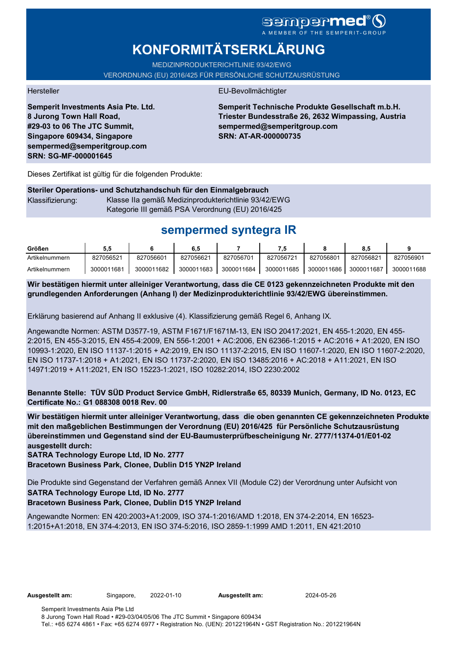# sempermed®

# **KONFORMITÄTSERKLÄRUNG**

MEDIZINPRODUKTERICHTLINIE 93/42/EWG

VERORDNUNG (EU) 2016/425 FÜR PERSÖNLICHE SCHUTZAUSRÜSTUNG

**Semperit Investments Asia Pte. Ltd. 8 Jurong Town Hall Road, #29-03 to 06 The JTC Summit, Singapore 609434, Singapore sempermed@semperitgroup.com SRN: SG-MF-000001645**

### Hersteller EU-Bevollmächtigter

**Semperit Technische Produkte Gesellschaft m.b.H. Triester Bundesstraße 26, 2632 Wimpassing, Austria sempermed@semperitgroup.com SRN: AT-AR-000000735**

Dieses Zertifikat ist gültig für die folgenden Produkte:

### **Steriler Operations- und Schutzhandschuh für den Einmalgebrauch** Klassifizierung: Klasse IIa gemäß Medizinprodukterichtlinie 93/42/EWG Kategorie III gemäß PSA Verordnung (EU) 2016/425

# **sempermed syntegra IR**

| Größen         | ວ.ວ        |            | 6.5        |            | . 5        |            | ၓ.Ե        |            |
|----------------|------------|------------|------------|------------|------------|------------|------------|------------|
| Artikelnummern | 827056521  | 827056601  | 827056621  | 827056701  | 827056721  | 827056801  | 827056821  | 827056901  |
| Artikelnummern | 3000011681 | 3000011682 | 3000011683 | 3000011684 | 3000011685 | 3000011686 | 3000011687 | 3000011688 |

**Wir bestätigen hiermit unter alleiniger Verantwortung, dass die CE 0123 gekennzeichneten Produkte mit den grundlegenden Anforderungen (Anhang I) der Medizinprodukterichtlinie 93/42/EWG übereinstimmen.**

Erklärung basierend auf Anhang II exklusive (4). Klassifizierung gemäß Regel 6, Anhang IX.

Angewandte Normen: ASTM D3577-19, ASTM F1671/F1671M-13, EN ISO 20417:2021, EN 455-1:2020, EN 455- 2:2015, EN 455-3:2015, EN 455-4:2009, EN 556-1:2001 + AC:2006, EN 62366-1:2015 + AC:2016 + A1:2020, EN ISO 10993-1:2020, EN ISO 11137-1:2015 + A2:2019, EN ISO 11137-2:2015, EN ISO 11607-1:2020, EN ISO 11607-2:2020, EN ISO 11737-1:2018 + A1:2021, EN ISO 11737-2:2020, EN ISO 13485:2016 + AC:2018 + A11:2021, EN ISO 14971:2019 + A11:2021, EN ISO 15223-1:2021, ISO 10282:2014, ISO 2230:2002

**Benannte Stelle: TÜV SÜD Product Service GmbH, Ridlerstraße 65, 80339 Munich, Germany, ID No. 0123, EC Certificate No.: G1 088308 0018 Rev. 00** 

**Wir bestätigen hiermit unter alleiniger Verantwortung, dass die oben genannten CE gekennzeichneten Produkte mit den maßgeblichen Bestimmungen der Verordnung (EU) 2016/425 für Persönliche Schutzausrüstung übereinstimmen und Gegenstand sind der EU-Baumusterprüfbescheinigung Nr. 2777/11374-01/E01-02 ausgestellt durch:**

**SATRA Technology Europe Ltd, ID No. 2777**

**Bracetown Business Park, Clonee, Dublin D15 YN2P Ireland**

Die Produkte sind Gegenstand der Verfahren gemäß Annex VII (Module C2) der Verordnung unter Aufsicht von **SATRA Technology Europe Ltd, ID No. 2777**

**Bracetown Business Park, Clonee, Dublin D15 YN2P Ireland**

Angewandte Normen: EN 420:2003+A1:2009, ISO 374-1:2016/AMD 1:2018, EN 374-2:2014, EN 16523- 1:2015+A1:2018, EN 374-4:2013, EN ISO 374-5:2016, ISO 2859-1:1999 AMD 1:2011, EN 421:2010

**Ausgestellt am:** Singapore, 2022-01-10 **Ausgestellt am:** 2024-05-26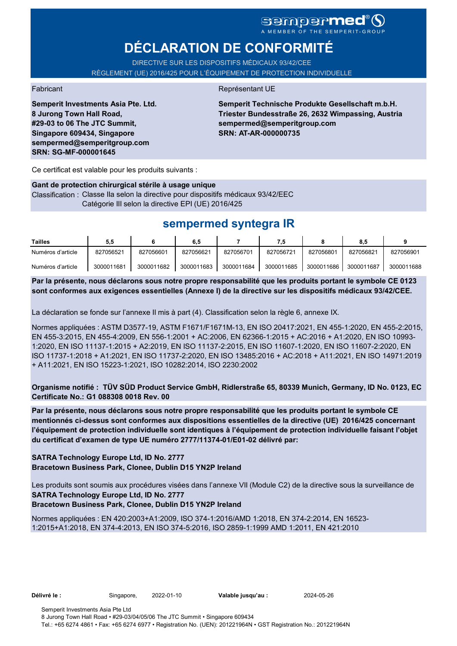# sempermed<sup>®</sup>()

# **DÉCLARATION DE CONFORMITÉ**

DIRECTIVE SUR LES DISPOSITIFS MÉDICAUX 93/42/CEE RÈGLEMENT (UE) 2016/425 POUR L'ÉQUIPEMENT DE PROTECTION INDIVIDUELLE

**Semperit Investments Asia Pte. Ltd. 8 Jurong Town Hall Road, #29-03 to 06 The JTC Summit, Singapore 609434, Singapore sempermed@semperitgroup.com SRN: SG-MF-000001645**

### Fabricant **Représentant UE**

**Semperit Technische Produkte Gesellschaft m.b.H. Triester Bundesstraße 26, 2632 Wimpassing, Austria sempermed@semperitgroup.com SRN: AT-AR-000000735**

Ce certificat est valable pour les produits suivants :

#### **Gant de protection chirurgical stérile à usage unique**

Classification : Classe IIa selon la directive pour dispositifs médicaux 93/42/EEC Catégorie III selon la directive EPI (UE) 2016/425

## **sempermed syntegra IR**

| Tailles           | 5.5        |            | 6.5        |            | 7.5        |            | 8.5        |            |
|-------------------|------------|------------|------------|------------|------------|------------|------------|------------|
| Numéros d'article | 827056521  | 827056601  | 827056621  | 827056701  | 827056721  | 827056801  | 827056821  | 827056901  |
| Numéros d'article | 3000011681 | 3000011682 | 3000011683 | 3000011684 | 3000011685 | 3000011686 | 3000011687 | 3000011688 |

**Par la présente, nous déclarons sous notre propre responsabilité que les produits portant le symbole CE 0123 sont conformes aux exigences essentielles (Annexe I) de la directive sur les dispositifs médicaux 93/42/CEE.**

La déclaration se fonde sur l'annexe II mis à part (4). Classification selon la règle 6, annexe IX.

Normes appliquées : ASTM D3577-19, ASTM F1671/F1671M-13, EN ISO 20417:2021, EN 455-1:2020, EN 455-2:2015, EN 455-3:2015, EN 455-4:2009, EN 556-1:2001 + AC:2006, EN 62366-1:2015 + AC:2016 + A1:2020, EN ISO 10993- 1:2020, EN ISO 11137-1:2015 + A2:2019, EN ISO 11137-2:2015, EN ISO 11607-1:2020, EN ISO 11607-2:2020, EN ISO 11737-1:2018 + A1:2021, EN ISO 11737-2:2020, EN ISO 13485:2016 + AC:2018 + A11:2021, EN ISO 14971:2019 + A11:2021, EN ISO 15223-1:2021, ISO 10282:2014, ISO 2230:2002

**Organisme notifié : TÜV SÜD Product Service GmbH, Ridlerstraße 65, 80339 Munich, Germany, ID No. 0123, EC Certificate No.: G1 088308 0018 Rev. 00** 

**Par la présente, nous déclarons sous notre propre responsabilité que les produits portant le symbole CE mentionnés ci-dessus sont conformes aux dispositions essentielles de la directive (UE) 2016/425 concernant l'équipement de protection individuelle sont identiques à l'équipement de protection individuelle faisant l'objet du certificat d'examen de type UE numéro 2777/11374-01/E01-02 délivré par:**

### **SATRA Technology Europe Ltd, ID No. 2777**

**Bracetown Business Park, Clonee, Dublin D15 YN2P Ireland**

Les produits sont soumis aux procédures visées dans l'annexe VII (Module C2) de la directive sous la surveillance de **SATRA Technology Europe Ltd, ID No. 2777**

## **Bracetown Business Park, Clonee, Dublin D15 YN2P Ireland**

Normes appliquées : EN 420:2003+A1:2009, ISO 374-1:2016/AMD 1:2018, EN 374-2:2014, EN 16523- 1:2015+A1:2018, EN 374-4:2013, EN ISO 374-5:2016, ISO 2859-1:1999 AMD 1:2011, EN 421:2010

**Délivré le :** Singapore, 2022-01-10 **Valable jusqu'au :** 2024-05-26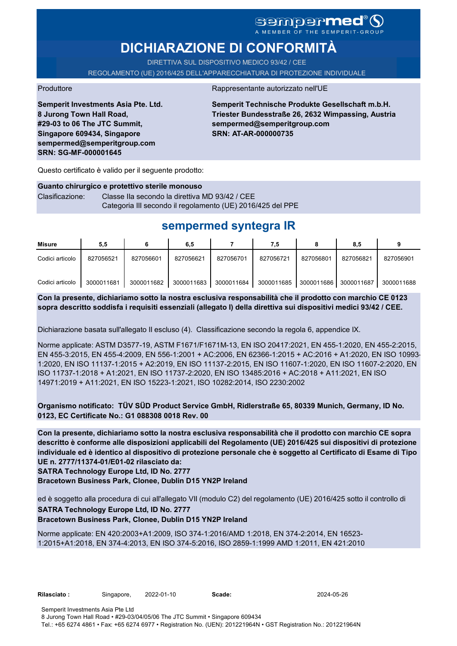# sempermed®

# **DICHIARAZIONE DI CONFORMITÀ**

DIRETTIVA SUL DISPOSITIVO MEDICO 93/42 / CEE REGOLAMENTO (UE) 2016/425 DELL'APPARECCHIATURA DI PROTEZIONE INDIVIDUALE

Produttore **Rappresentante autorizzato nell'UE** 

**Semperit Investments Asia Pte. Ltd. 8 Jurong Town Hall Road, #29-03 to 06 The JTC Summit, Singapore 609434, Singapore sempermed@semperitgroup.com SRN: SG-MF-000001645**

**Semperit Technische Produkte Gesellschaft m.b.H. Triester Bundesstraße 26, 2632 Wimpassing, Austria sempermed@semperitgroup.com SRN: AT-AR-000000735**

Questo certificato è valido per il seguente prodotto:

**Guanto chirurgico e protettivo sterile monouso** Clasificazione: Classe IIa secondo la direttiva MD 93/42 / CEE Categoria III secondo il regolamento (UE) 2016/425 del PPE

# **sempermed syntegra IR**

| Misure          | 5,5        |            | 6,5        |            | 7.5        |            | 8,5        |            |
|-----------------|------------|------------|------------|------------|------------|------------|------------|------------|
| Codici articolo | 827056521  | 827056601  | 827056621  | 827056701  | 827056721  | 827056801  | 827056821  | 827056901  |
| Codici articolo | 3000011681 | 3000011682 | 3000011683 | 3000011684 | 3000011685 | 3000011686 | 3000011687 | 3000011688 |

**Con la presente, dichiariamo sotto la nostra esclusiva responsabilità che il prodotto con marchio CE 0123 sopra descritto soddisfa i requisiti essenziali (allegato I) della direttiva sui dispositivi medici 93/42 / CEE.**

Dichiarazione basata sull'allegato II escluso (4). Classificazione secondo la regola 6, appendice IX.

Norme applicate: ASTM D3577-19, ASTM F1671/F1671M-13, EN ISO 20417:2021, EN 455-1:2020, EN 455-2:2015, EN 455-3:2015, EN 455-4:2009, EN 556-1:2001 + AC:2006, EN 62366-1:2015 + AC:2016 + A1:2020, EN ISO 10993- 1:2020, EN ISO 11137-1:2015 + A2:2019, EN ISO 11137-2:2015, EN ISO 11607-1:2020, EN ISO 11607-2:2020, EN ISO 11737-1:2018 + A1:2021, EN ISO 11737-2:2020, EN ISO 13485:2016 + AC:2018 + A11:2021, EN ISO 14971:2019 + A11:2021, EN ISO 15223-1:2021, ISO 10282:2014, ISO 2230:2002

**Organismo notificato: TÜV SÜD Product Service GmbH, Ridlerstraße 65, 80339 Munich, Germany, ID No. 0123, EC Certificate No.: G1 088308 0018 Rev. 00** 

**Con la presente, dichiariamo sotto la nostra esclusiva responsabilità che il prodotto con marchio CE sopra descritto è conforme alle disposizioni applicabili del Regolamento (UE) 2016/425 sui dispositivi di protezione individuale ed è identico al dispositivo di protezione personale che è soggetto al Certificato di Esame di Tipo UE n. 2777/11374-01/E01-02 rilasciato da:**

**SATRA Technology Europe Ltd, ID No. 2777**

**Bracetown Business Park, Clonee, Dublin D15 YN2P Ireland**

ed è soggetto alla procedura di cui all'allegato VII (modulo C2) del regolamento (UE) 2016/425 sotto il controllo di

### **SATRA Technology Europe Ltd, ID No. 2777**

**Bracetown Business Park, Clonee, Dublin D15 YN2P Ireland**

Norme applicate: EN 420:2003+A1:2009, ISO 374-1:2016/AMD 1:2018, EN 374-2:2014, EN 16523- 1:2015+A1:2018, EN 374-4:2013, EN ISO 374-5:2016, ISO 2859-1:1999 AMD 1:2011, EN 421:2010

| Rilasciato : |  |
|--------------|--|
|              |  |

**Rilasciato :** Singapore, 2022-01-10 **Scade:** 2024-05-26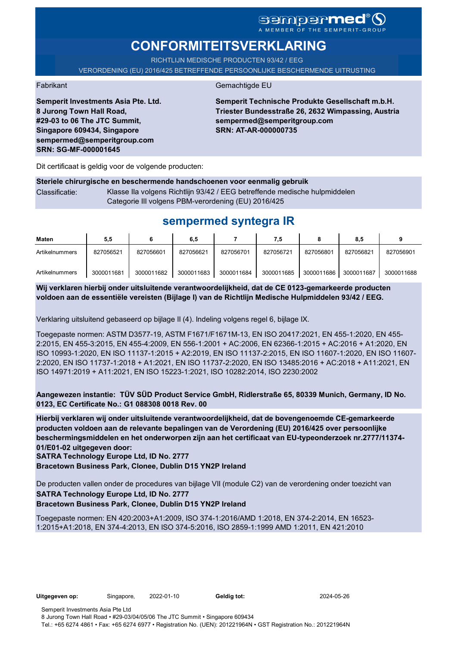## sempermed<sup>®</sup>Q A MEMBER OF THE SEMPERIT-GROUP

# **CONFORMITEITSVERKLARING**

RICHTLIJN MEDISCHE PRODUCTEN 93/42 / EEG VERORDENING (EU) 2016/425 BETREFFENDE PERSOONLIJKE BESCHERMENDE UITRUSTING

Fabrikant Gemachtigde EU

**Semperit Investments Asia Pte. Ltd. 8 Jurong Town Hall Road, #29-03 to 06 The JTC Summit, Singapore 609434, Singapore sempermed@semperitgroup.com SRN: SG-MF-000001645**

**Semperit Technische Produkte Gesellschaft m.b.H. Triester Bundesstraße 26, 2632 Wimpassing, Austria sempermed@semperitgroup.com SRN: AT-AR-000000735**

Dit certificaat is geldig voor de volgende producten:

### **Steriele chirurgische en beschermende handschoenen voor eenmalig gebruik** Classificatie: Klasse IIa volgens Richtlijn 93/42 / EEG betreffende medische hulpmiddelen

Categorie III volgens PBM-verordening (EU) 2016/425

# **sempermed syntegra IR**

| Maten          | 5,5        |            | 6,5        |            | 7.5        |            | 8,5        |            |
|----------------|------------|------------|------------|------------|------------|------------|------------|------------|
| Artikelnummers | 827056521  | 827056601  | 827056621  | 827056701  | 827056721  | 827056801  | 827056821  | 827056901  |
| Artikelnummers | 3000011681 | 3000011682 | 3000011683 | 3000011684 | 3000011685 | 3000011686 | 3000011687 | 3000011688 |

**Wij verklaren hierbij onder uitsluitende verantwoordelijkheid, dat de CE 0123-gemarkeerde producten voldoen aan de essentiële vereisten (Bijlage I) van de Richtlijn Medische Hulpmiddelen 93/42 / EEG.**

Verklaring uitsluitend gebaseerd op bijlage II (4). Indeling volgens regel 6, bijlage IX.

Toegepaste normen: ASTM D3577-19, ASTM F1671/F1671M-13, EN ISO 20417:2021, EN 455-1:2020, EN 455- 2:2015, EN 455-3:2015, EN 455-4:2009, EN 556-1:2001 + AC:2006, EN 62366-1:2015 + AC:2016 + A1:2020, EN ISO 10993-1:2020, EN ISO 11137-1:2015 + A2:2019, EN ISO 11137-2:2015, EN ISO 11607-1:2020, EN ISO 11607- 2:2020, EN ISO 11737-1:2018 + A1:2021, EN ISO 11737-2:2020, EN ISO 13485:2016 + AC:2018 + A11:2021, EN ISO 14971:2019 + A11:2021, EN ISO 15223-1:2021, ISO 10282:2014, ISO 2230:2002

**Aangewezen instantie: TÜV SÜD Product Service GmbH, Ridlerstraße 65, 80339 Munich, Germany, ID No. 0123, EC Certificate No.: G1 088308 0018 Rev. 00** 

**Hierbij verklaren wij onder uitsluitende verantwoordelijkheid, dat de bovengenoemde CE-gemarkeerde producten voldoen aan de relevante bepalingen van de Verordening (EU) 2016/425 over persoonlijke beschermingsmiddelen en het onderworpen zijn aan het certificaat van EU-typeonderzoek nr.2777/11374- 01/E01-02 uitgegeven door:**

**SATRA Technology Europe Ltd, ID No. 2777**

**Bracetown Business Park, Clonee, Dublin D15 YN2P Ireland**

De producten vallen onder de procedures van bijlage VII (module C2) van de verordening onder toezicht van **SATRA Technology Europe Ltd, ID No. 2777**

### **Bracetown Business Park, Clonee, Dublin D15 YN2P Ireland**

Toegepaste normen: EN 420:2003+A1:2009, ISO 374-1:2016/AMD 1:2018, EN 374-2:2014, EN 16523- 1:2015+A1:2018, EN 374-4:2013, EN ISO 374-5:2016, ISO 2859-1:1999 AMD 1:2011, EN 421:2010

**Uitgegeven op:** Singapore, 2022-01-10 **Geldig tot:** 2024-05-26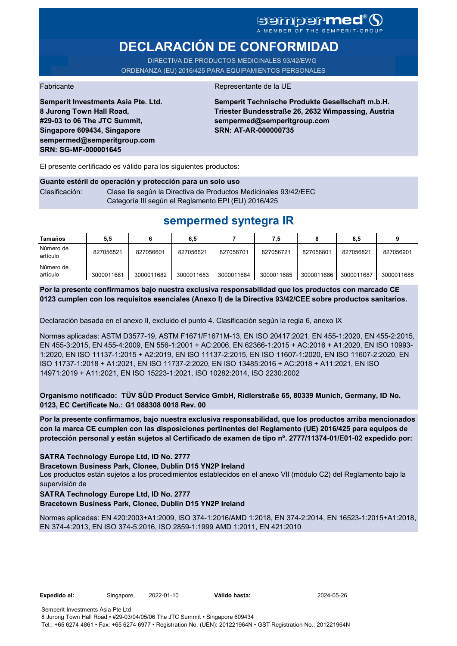# sempermed®9

# **DECLARACIÓN DE CONFORMIDAD**

DIRECTIVA DE PRODUCTOS MEDICINALES 93/42/EWG ORDENANZA (EU) 2016/425 PARA EQUIPAMIENTOS PERSONALES

Fabricante de la UE de la UE de la UE de la UE de la UE de la UE de la UE de la UE de la UE de la UE de la UE

**Semperit Investments Asia Pte. Ltd. 8 Jurong Town Hall Road, #29-03 to 06 The JTC Summit, Singapore 609434, Singapore sempermed@semperitgroup.com SRN: SG-MF-000001645**

**Semperit Technische Produkte Gesellschaft m.b.H. Triester Bundesstraße 26, 2632 Wimpassing, Austria sempermed@semperitgroup.com SRN: AT-AR-000000735**

El presente certificado es válido para los siguientes productos:

### **Guante estéril de operación y protección para un solo uso** Clasificación: Clase Ila según la Directiva de Productos Medicinales 93/42/EEC Categoría III según el Reglamento EPI (EU) 2016/425

# **sempermed syntegra IR**

| <b>Tamaños</b>        | 5.5        |            | 6,5        |            | 7.5        |            | 8.5        |            |
|-----------------------|------------|------------|------------|------------|------------|------------|------------|------------|
| Número de<br>artículo | 827056521  | 827056601  | 827056621  | 827056701  | 827056721  | 827056801  | 827056821  | 827056901  |
| Número de<br>artículo | 3000011681 | 3000011682 | 3000011683 | 3000011684 | 3000011685 | 3000011686 | 3000011687 | 3000011688 |

**Por la presente confirmamos bajo nuestra exclusiva responsabilidad que los productos con marcado CE 0123 cumplen con los requisitos esenciales (Anexo I) de la Directiva 93/42/CEE sobre productos sanitarios.**

Declaración basada en el anexo II, excluido el punto 4. Clasificación según la regla 6, anexo IX

Normas aplicadas: ASTM D3577-19, ASTM F1671/F1671M-13, EN ISO 20417:2021, EN 455-1:2020, EN 455-2:2015, EN 455-3:2015, EN 455-4:2009, EN 556-1:2001 + AC:2006, EN 62366-1:2015 + AC:2016 + A1:2020, EN ISO 10993- 1:2020, EN ISO 11137-1:2015 + A2:2019, EN ISO 11137-2:2015, EN ISO 11607-1:2020, EN ISO 11607-2:2020, EN ISO 11737-1:2018 + A1:2021, EN ISO 11737-2:2020, EN ISO 13485:2016 + AC:2018 + A11:2021, EN ISO 14971:2019 + A11:2021, EN ISO 15223-1:2021, ISO 10282:2014, ISO 2230:2002

**Organismo notificado: TÜV SÜD Product Service GmbH, Ridlerstraße 65, 80339 Munich, Germany, ID No. 0123, EC Certificate No.: G1 088308 0018 Rev. 00** 

**Por la presente confirmamos, bajo nuestra exclusiva responsabilidad, que los productos arriba mencionados con la marca CE cumplen con las disposiciones pertinentes del Reglamento (UE) 2016/425 para equipos de protección personal y están sujetos al Certificado de examen de tipo nº. 2777/11374-01/E01-02 expedido por:**

### **SATRA Technology Europe Ltd, ID No. 2777**

**Bracetown Business Park, Clonee, Dublin D15 YN2P Ireland**

Los productos están sujetos a los procedimientos establecidos en el anexo VII (módulo C2) del Reglamento bajo la supervisión de

## **SATRA Technology Europe Ltd, ID No. 2777**

**Bracetown Business Park, Clonee, Dublin D15 YN2P Ireland**

Normas aplicadas: EN 420:2003+A1:2009, ISO 374-1:2016/AMD 1:2018, EN 374-2:2014, EN 16523-1:2015+A1:2018, EN 374-4:2013, EN ISO 374-5:2016, ISO 2859-1:1999 AMD 1:2011, EN 421:2010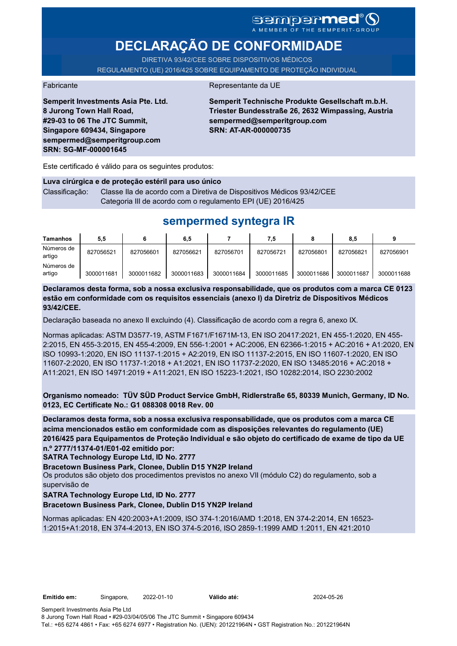## **sempermed®** A MEMBER OF THE SEMPERIT-GROUP

**DECLARAÇÃO DE CONFORMIDADE**

DIRETIVA 93/42/CEE SOBRE DISPOSITIVOS MÉDICOS REGULAMENTO (UE) 2016/425 SOBRE EQUIPAMENTO DE PROTEÇÃO INDIVIDUAL

Fabricante da UE

**Semperit Investments Asia Pte. Ltd. 8 Jurong Town Hall Road, #29-03 to 06 The JTC Summit, Singapore 609434, Singapore sempermed@semperitgroup.com SRN: SG-MF-000001645**

**Semperit Technische Produkte Gesellschaft m.b.H. Triester Bundesstraße 26, 2632 Wimpassing, Austria sempermed@semperitgroup.com SRN: AT-AR-000000735**

Este certificado é válido para os seguintes produtos:

#### **Luva cirúrgica e de proteção estéril para uso único**

Classificação: Classe IIa de acordo com a Diretiva de Dispositivos Médicos 93/42/CEE Categoria III de acordo com o regulamento EPI (UE) 2016/425

# **sempermed syntegra IR**

| Tamanhos             | 5,5        |            | 6,5        |            | 7,5        |            | 8,5        |            |
|----------------------|------------|------------|------------|------------|------------|------------|------------|------------|
| Números de<br>artigo | 827056521  | 827056601  | 827056621  | 827056701  | 827056721  | 827056801  | 827056821  | 827056901  |
| Números de<br>artigo | 3000011681 | 3000011682 | 3000011683 | 3000011684 | 3000011685 | 3000011686 | 3000011687 | 3000011688 |

**Declaramos desta forma, sob a nossa exclusiva responsabilidade, que os produtos com a marca CE 0123 estão em conformidade com os requisitos essenciais (anexo I) da Diretriz de Dispositivos Médicos 93/42/CEE.**

Declaração baseada no anexo II excluindo (4). Classificação de acordo com a regra 6, anexo IX.

Normas aplicadas: ASTM D3577-19, ASTM F1671/F1671M-13, EN ISO 20417:2021, EN 455-1:2020, EN 455- 2:2015, EN 455-3:2015, EN 455-4:2009, EN 556-1:2001 + AC:2006, EN 62366-1:2015 + AC:2016 + A1:2020, EN ISO 10993-1:2020, EN ISO 11137-1:2015 + A2:2019, EN ISO 11137-2:2015, EN ISO 11607-1:2020, EN ISO 11607-2:2020, EN ISO 11737-1:2018 + A1:2021, EN ISO 11737-2:2020, EN ISO 13485:2016 + AC:2018 + A11:2021, EN ISO 14971:2019 + A11:2021, EN ISO 15223-1:2021, ISO 10282:2014, ISO 2230:2002

**Organismo nomeado: TÜV SÜD Product Service GmbH, Ridlerstraße 65, 80339 Munich, Germany, ID No. 0123, EC Certificate No.: G1 088308 0018 Rev. 00** 

**Declaramos desta forma, sob a nossa exclusiva responsabilidade, que os produtos com a marca CE acima mencionados estão em conformidade com as disposições relevantes do regulamento (UE) 2016/425 para Equipamentos de Proteção Individual e são objeto do certificado de exame de tipo da UE n.º 2777/11374-01/E01-02 emitido por:**

**SATRA Technology Europe Ltd, ID No. 2777**

**Bracetown Business Park, Clonee, Dublin D15 YN2P Ireland**

Os produtos são objeto dos procedimentos previstos no anexo VII (módulo C2) do regulamento, sob a supervisão de

### **SATRA Technology Europe Ltd, ID No. 2777**

**Bracetown Business Park, Clonee, Dublin D15 YN2P Ireland**

Normas aplicadas: EN 420:2003+A1:2009, ISO 374-1:2016/AMD 1:2018, EN 374-2:2014, EN 16523- 1:2015+A1:2018, EN 374-4:2013, EN ISO 374-5:2016, ISO 2859-1:1999 AMD 1:2011, EN 421:2010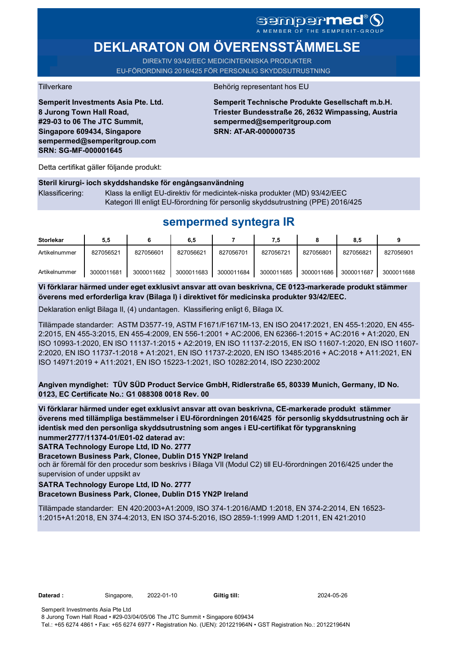**DEKLARATON OM ÖVERENSSTÄMMELSE** 

DIREkTIV 93/42/EEC MEDICINTEKNISKA PRODUKTER EU-FÖRORDNING 2016/425 FÖR PERSONLIG SKYDDSUTRUSTNING

**Semperit Investments Asia Pte. Ltd. 8 Jurong Town Hall Road, #29-03 to 06 The JTC Summit, Singapore 609434, Singapore sempermed@semperitgroup.com SRN: SG-MF-000001645**

### Tillverkare Behörig representant hos EU

**Semperit Technische Produkte Gesellschaft m.b.H. Triester Bundesstraße 26, 2632 Wimpassing, Austria sempermed@semperitgroup.com SRN: AT-AR-000000735**

Detta certifikat gäller följande produkt:

#### **Steril kirurgi- ioch skyddshandske för engångsanvändning**

Klassificering: Klass Ia enlligt EU-direktiv för medicintek-niska produkter (MD) 93/42/EEC Kategori III enligt EU-förordning för personlig skyddsutrustning (PPE) 2016/425

# **sempermed syntegra IR**

| <b>Storlekar</b> | 5,5        |            | 6,5        |            | 7,5        |            | 8.5        |            |
|------------------|------------|------------|------------|------------|------------|------------|------------|------------|
| Artikelnummer    | 827056521  | 827056601  | 827056621  | 827056701  | 827056721  | 827056801  | 827056821  | 827056901  |
| Artikelnummer    | 3000011681 | 3000011682 | 3000011683 | 3000011684 | 3000011685 | 3000011686 | 3000011687 | 3000011688 |

**Vi förklarar härmed under eget exklusivt ansvar att ovan beskrivna, CE 0123-markerade produkt stämmer överens med erforderliga krav (Bilaga I) i direktivet för medicinska produkter 93/42/EEC.**

Deklaration enligt Bilaga II, (4) undantagen. Klassifiering enligt 6, Bilaga IX.

Tillämpade standarder: ASTM D3577-19, ASTM F1671/F1671M-13, EN ISO 20417:2021, EN 455-1:2020, EN 455- 2:2015, EN 455-3:2015, EN 455-4:2009, EN 556-1:2001 + AC:2006, EN 62366-1:2015 + AC:2016 + A1:2020, EN ISO 10993-1:2020, EN ISO 11137-1:2015 + A2:2019, EN ISO 11137-2:2015, EN ISO 11607-1:2020, EN ISO 11607- 2:2020, EN ISO 11737-1:2018 + A1:2021, EN ISO 11737-2:2020, EN ISO 13485:2016 + AC:2018 + A11:2021, EN ISO 14971:2019 + A11:2021, EN ISO 15223-1:2021, ISO 10282:2014, ISO 2230:2002

**Angiven myndighet: TÜV SÜD Product Service GmbH, Ridlerstraße 65, 80339 Munich, Germany, ID No. 0123, EC Certificate No.: G1 088308 0018 Rev. 00** 

**Vi förklarar härmed under eget exklusivt ansvar att ovan beskrivna, CE-markerade produkt stämmer överens med tillämpliga bestämmelser i EU-förordningen 2016/425 för personlig skyddsutrustning och är identisk med den personliga skyddsutrustning som anges i EU-certifikat för typgranskning nummer2777/11374-01/E01-02 daterad av:**

**SATRA Technology Europe Ltd, ID No. 2777**

**Bracetown Business Park, Clonee, Dublin D15 YN2P Ireland**

och är föremål för den procedur som beskrivs i Bilaga VII (Modul C2) till EU-förordningen 2016/425 under the supervision of under uppsikt av

#### **SATRA Technology Europe Ltd, ID No. 2777**

#### **Bracetown Business Park, Clonee, Dublin D15 YN2P Ireland**

Tillämpade standarder: EN 420:2003+A1:2009, ISO 374-1:2016/AMD 1:2018, EN 374-2:2014, EN 16523- 1:2015+A1:2018, EN 374-4:2013, EN ISO 374-5:2016, ISO 2859-1:1999 AMD 1:2011, EN 421:2010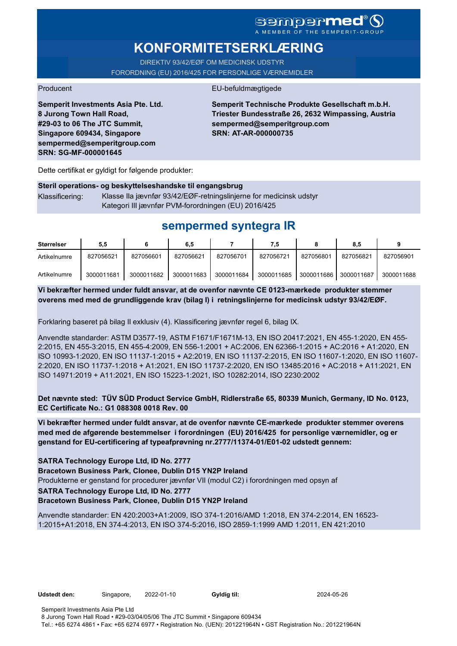# SGMDGP**MCC**<sup>®</sup>

# **KONFORMITETSERKLÆRING**

DIREKTIV 93/42/EØF OM MEDICINSK UDSTYR FORORDNING (EU) 2016/425 FOR PERSONLIGE VÆRNEMIDLER

### Producent **EU-befuldmægtigede**

**Semperit Investments Asia Pte. Ltd. 8 Jurong Town Hall Road, #29-03 to 06 The JTC Summit, Singapore 609434, Singapore sempermed@semperitgroup.com SRN: SG-MF-000001645**

**Semperit Technische Produkte Gesellschaft m.b.H. Triester Bundesstraße 26, 2632 Wimpassing, Austria sempermed@semperitgroup.com SRN: AT-AR-000000735**

Dette certifikat er gyldigt for følgende produkter:

## **Steril operations- og beskyttelseshandske til engangsbrug** Klassificering: Klasse IIa jævnfør 93/42/EØF-retningslinjerne for medicinsk udstyr Kategori III jævnfør PVM-forordningen (EU) 2016/425

# **sempermed syntegra IR**

| <b>Størrelser</b> | 5.5        |            | 6,5        |            |            |            | 8.5        |            |
|-------------------|------------|------------|------------|------------|------------|------------|------------|------------|
| Artikelnumre      | 827056521  | 827056601  | 827056621  | 827056701  | 827056721  | 827056801  | 827056821  | 827056901  |
| Artikelnumre      | 3000011681 | 3000011682 | 3000011683 | 3000011684 | 3000011685 | 3000011686 | 3000011687 | 3000011688 |

**Vi bekræfter hermed under fuldt ansvar, at de ovenfor nævnte CE 0123-mærkede produkter stemmer overens med med de grundliggende krav (bilag I) i retningslinjerne for medicinsk udstyr 93/42/EØF.**

Forklaring baseret på bilag II exklusiv (4). Klassificering jævnfør regel 6, bilag IX.

Anvendte standarder: ASTM D3577-19, ASTM F1671/F1671M-13, EN ISO 20417:2021, EN 455-1:2020, EN 455- 2:2015, EN 455-3:2015, EN 455-4:2009, EN 556-1:2001 + AC:2006, EN 62366-1:2015 + AC:2016 + A1:2020, EN ISO 10993-1:2020, EN ISO 11137-1:2015 + A2:2019, EN ISO 11137-2:2015, EN ISO 11607-1:2020, EN ISO 11607- 2:2020, EN ISO 11737-1:2018 + A1:2021, EN ISO 11737-2:2020, EN ISO 13485:2016 + AC:2018 + A11:2021, EN ISO 14971:2019 + A11:2021, EN ISO 15223-1:2021, ISO 10282:2014, ISO 2230:2002

**Det nævnte sted: TÜV SÜD Product Service GmbH, Ridlerstraße 65, 80339 Munich, Germany, ID No. 0123, EC Certificate No.: G1 088308 0018 Rev. 00** 

**Vi bekræfter hermed under fuldt ansvar, at de ovenfor nævnte CE-mærkede produkter stemmer overens med med de afgørende bestemmelser i forordningen (EU) 2016/425 for personlige værnemidler, og er genstand for EU-certificering af typeafprøvning nr.2777/11374-01/E01-02 udstedt gennem:**

**SATRA Technology Europe Ltd, ID No. 2777**

**Bracetown Business Park, Clonee, Dublin D15 YN2P Ireland**

Produkterne er genstand for procedurer jævnfør VII (modul C2) i forordningen med opsyn af

**SATRA Technology Europe Ltd, ID No. 2777**

**Bracetown Business Park, Clonee, Dublin D15 YN2P Ireland**

Anvendte standarder: EN 420:2003+A1:2009, ISO 374-1:2016/AMD 1:2018, EN 374-2:2014, EN 16523- 1:2015+A1:2018, EN 374-4:2013, EN ISO 374-5:2016, ISO 2859-1:1999 AMD 1:2011, EN 421:2010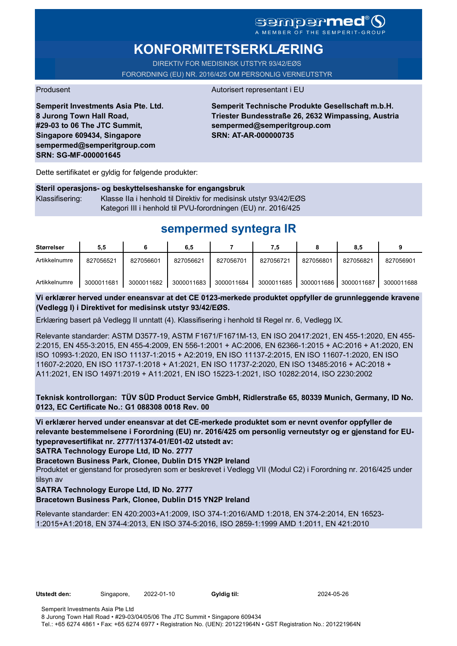# **KONFORMITETSERKLÆRING**

DIREKTIV FOR MEDISINSK UTSTYR 93/42/EØS FORORDNING (EU) NR. 2016/425 OM PERSONLIG VERNEUTSTYR

### Produsent Autorisert representant i EU

**Semperit Investments Asia Pte. Ltd. 8 Jurong Town Hall Road, #29-03 to 06 The JTC Summit, Singapore 609434, Singapore sempermed@semperitgroup.com SRN: SG-MF-000001645**

**Semperit Technische Produkte Gesellschaft m.b.H. Triester Bundesstraße 26, 2632 Wimpassing, Austria sempermed@semperitgroup.com SRN: AT-AR-000000735**

Dette sertifikatet er gyldig for følgende produkter:

## **Steril operasjons- og beskyttelseshanske for engangsbruk** Klassifisering: Klasse IIa i henhold til Direktiv for medisinsk utstyr 93/42/EØS Kategori III i henhold til PVU-forordningen (EU) nr. 2016/425

# **sempermed syntegra IR**

| Størrelser    | 5.5        |            | 6,5        |            | 7,5        |            | 8.5        |            |
|---------------|------------|------------|------------|------------|------------|------------|------------|------------|
| Artikkelnumre | 827056521  | 827056601  | 827056621  | 827056701  | 827056721  | 827056801  | 827056821  | 827056901  |
| Artikkelnumre | 3000011681 | 3000011682 | 3000011683 | 3000011684 | 3000011685 | 3000011686 | 3000011687 | 3000011688 |

**Vi erklærer herved under eneansvar at det CE 0123-merkede produktet oppfyller de grunnleggende kravene (Vedlegg I) i Direktivet for medisinsk utstyr 93/42/EØS.**

Erklæring basert på Vedlegg II unntatt (4). Klassifisering i henhold til Regel nr. 6, Vedlegg IX.

Relevante standarder: ASTM D3577-19, ASTM F1671/F1671M-13, EN ISO 20417:2021, EN 455-1:2020, EN 455- 2:2015, EN 455-3:2015, EN 455-4:2009, EN 556-1:2001 + AC:2006, EN 62366-1:2015 + AC:2016 + A1:2020, EN ISO 10993-1:2020, EN ISO 11137-1:2015 + A2:2019, EN ISO 11137-2:2015, EN ISO 11607-1:2020, EN ISO 11607-2:2020, EN ISO 11737-1:2018 + A1:2021, EN ISO 11737-2:2020, EN ISO 13485:2016 + AC:2018 + A11:2021, EN ISO 14971:2019 + A11:2021, EN ISO 15223-1:2021, ISO 10282:2014, ISO 2230:2002

**Teknisk kontrollorgan: TÜV SÜD Product Service GmbH, Ridlerstraße 65, 80339 Munich, Germany, ID No. 0123, EC Certificate No.: G1 088308 0018 Rev. 00** 

**Vi erklærer herved under eneansvar at det CE-merkede produktet som er nevnt ovenfor oppfyller de relevante bestemmelsene i Forordning (EU) nr. 2016/425 om personlig verneutstyr og er gjenstand for EUtypeprøvesertifikat nr. 2777/11374-01/E01-02 utstedt av:**

**SATRA Technology Europe Ltd, ID No. 2777**

**Bracetown Business Park, Clonee, Dublin D15 YN2P Ireland**

Produktet er gjenstand for prosedyren som er beskrevet i Vedlegg VII (Modul C2) i Forordning nr. 2016/425 under tilsyn av

### **SATRA Technology Europe Ltd, ID No. 2777**

**Bracetown Business Park, Clonee, Dublin D15 YN2P Ireland**

Relevante standarder: EN 420:2003+A1:2009, ISO 374-1:2016/AMD 1:2018, EN 374-2:2014, EN 16523- 1:2015+A1:2018, EN 374-4:2013, EN ISO 374-5:2016, ISO 2859-1:1999 AMD 1:2011, EN 421:2010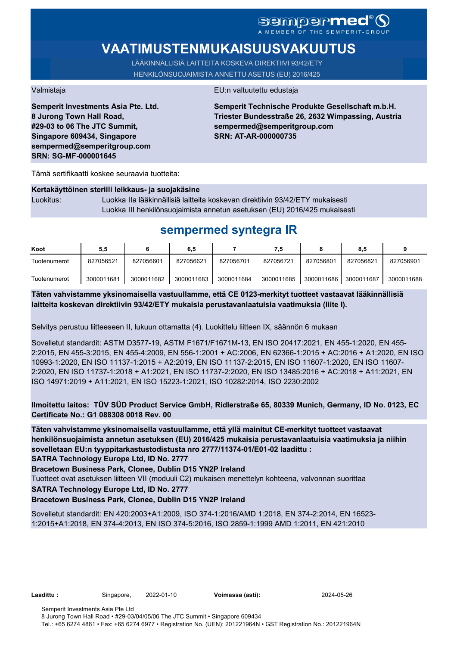# sempermed®

# **VAATIMUSTENMUKAISUUSVAKUUTUS**

LÄÄKINNÄLLISIÄ LAITTEITA KOSKEVA DIREKTIIVI 93/42/ETY HENKILÖNSUOJAIMISTA ANNETTU ASETUS (EU) 2016/425

**Semperit Investments Asia Pte. Ltd. 8 Jurong Town Hall Road, #29-03 to 06 The JTC Summit, Singapore 609434, Singapore sempermed@semperitgroup.com SRN: SG-MF-000001645**

#### Valmistaja EU:n valtuutettu edustaja

**Semperit Technische Produkte Gesellschaft m.b.H. Triester Bundesstraße 26, 2632 Wimpassing, Austria sempermed@semperitgroup.com SRN: AT-AR-000000735**

Tämä sertifikaatti koskee seuraavia tuotteita:

### **Kertakäyttöinen steriili leikkaus- ja suojakäsine**

Luokitus: Luokka IIa lääkinnällisiä laitteita koskevan direktiivin 93/42/ETY mukaisesti Luokka III henkilönsuojaimista annetun asetuksen (EU) 2016/425 mukaisesti

# **sempermed syntegra IR**

| Koot         | 5,5        |            | 6,5        |            | 7.5        |            | 8,5        |            |
|--------------|------------|------------|------------|------------|------------|------------|------------|------------|
| Tuotenumerot | 827056521  | 827056601  | 827056621  | 827056701  | 827056721  | 827056801  | 827056821  | 827056901  |
| Tuotenumerot | 3000011681 | 3000011682 | 3000011683 | 3000011684 | 3000011685 | 3000011686 | 3000011687 | 3000011688 |

**Täten vahvistamme yksinomaisella vastuullamme, että CE 0123-merkityt tuotteet vastaavat lääkinnällisiä laitteita koskevan direktiivin 93/42/ETY mukaisia perustavanlaatuisia vaatimuksia (liite I).**

Selvitys perustuu liitteeseen II, lukuun ottamatta (4). Luokittelu liitteen IX, säännön 6 mukaan

Sovelletut standardit: ASTM D3577-19, ASTM F1671/F1671M-13, EN ISO 20417:2021, EN 455-1:2020, EN 455- 2:2015, EN 455-3:2015, EN 455-4:2009, EN 556-1:2001 + AC:2006, EN 62366-1:2015 + AC:2016 + A1:2020, EN ISO 10993-1:2020, EN ISO 11137-1:2015 + A2:2019, EN ISO 11137-2:2015, EN ISO 11607-1:2020, EN ISO 11607- 2:2020, EN ISO 11737-1:2018 + A1:2021, EN ISO 11737-2:2020, EN ISO 13485:2016 + AC:2018 + A11:2021, EN ISO 14971:2019 + A11:2021, EN ISO 15223-1:2021, ISO 10282:2014, ISO 2230:2002

**Ilmoitettu laitos: TÜV SÜD Product Service GmbH, Ridlerstraße 65, 80339 Munich, Germany, ID No. 0123, EC Certificate No.: G1 088308 0018 Rev. 00** 

**Täten vahvistamme yksinomaisella vastuullamme, että yllä mainitut CE-merkityt tuotteet vastaavat henkilönsuojaimista annetun asetuksen (EU) 2016/425 mukaisia perustavanlaatuisia vaatimuksia ja niihin sovelletaan EU:n tyyppitarkastustodistusta nro 2777/11374-01/E01-02 laadittu :**

**SATRA Technology Europe Ltd, ID No. 2777**

**Bracetown Business Park, Clonee, Dublin D15 YN2P Ireland**

Tuotteet ovat asetuksen liitteen VII (moduuli C2) mukaisen menettelyn kohteena, valvonnan suorittaa

#### **SATRA Technology Europe Ltd, ID No. 2777**

**Bracetown Business Park, Clonee, Dublin D15 YN2P Ireland**

Sovelletut standardit: EN 420:2003+A1:2009, ISO 374-1:2016/AMD 1:2018, EN 374-2:2014, EN 16523- 1:2015+A1:2018, EN 374-4:2013, EN ISO 374-5:2016, ISO 2859-1:1999 AMD 1:2011, EN 421:2010

**Laadittu :** Singapore, 2022-01-10 **Voimassa (asti):** 2024-05-26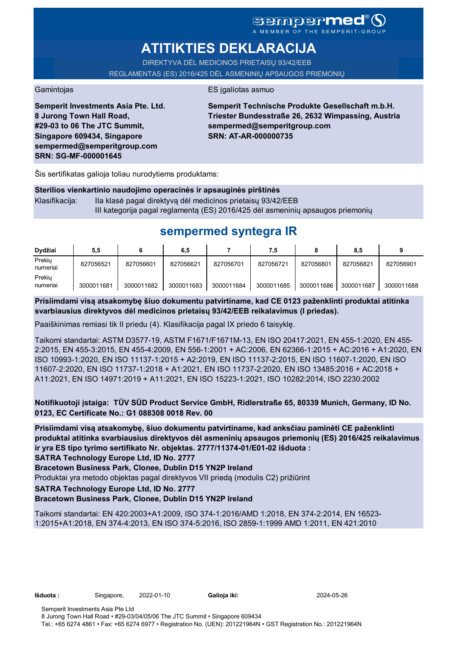## **sempermed** MEMBER OF THE SEMPERIT-

# **ATITIKTIES DEKLARACIJA**

DIREKTYVA DĖL MEDICINOS PRIETAISŲ 93/42/EEB REGLAMENTAS (ES) 2016/425 DĖL ASMENINIŲ APSAUGOS PRIEMONIŲ

### Gamintojas **ES** įgaliotas asmuo

**Semperit Investments Asia Pte. Ltd. 8 Jurong Town Hall Road, #29-03 to 06 The JTC Summit, Singapore 609434, Singapore sempermed@semperitgroup.com SRN: SG-MF-000001645**

**Semperit Technische Produkte Gesellschaft m.b.H. Triester Bundesstraße 26, 2632 Wimpassing, Austria sempermed@semperitgroup.com SRN: AT-AR-000000735**

Šis sertifikatas galioja toliau nurodytiems produktams:

### **Sterilios vienkartinio naudojimo operacinės ir apsauginės pirštinės**

Klasifikacija: Ila klasė pagal direktyvą dėl medicinos prietaisų 93/42/EEB III kategorija pagal reglamentą (ES) 2016/425 dėl asmeninių apsaugos priemonių

# **sempermed syntegra IR**

| Dydžiai            | 5,5        |            | 6,5        |            | 7,5        |            | 8,5        |            |
|--------------------|------------|------------|------------|------------|------------|------------|------------|------------|
| Prekiu<br>numeriai | 827056521  | 827056601  | 827056621  | 827056701  | 827056721  | 827056801  | 827056821  | 827056901  |
| Prekiu<br>numeriai | 3000011681 | 3000011682 | 3000011683 | 3000011684 | 3000011685 | 3000011686 | 3000011687 | 3000011688 |

**Prisiimdami visą atsakomybę šiuo dokumentu patvirtiname, kad CE 0123 paženklinti produktai atitinka svarbiausius direktyvos dėl medicinos prietaisų 93/42/EEB reikalavimus (I priedas).**

Paaiškinimas remiasi tik II priedu (4). Klasifikacija pagal IX priedo 6 taisyklę.

Taikomi standartai: ASTM D3577-19, ASTM F1671/F1671M-13, EN ISO 20417:2021, EN 455-1:2020, EN 455- 2:2015, EN 455-3:2015, EN 455-4:2009, EN 556-1:2001 + AC:2006, EN 62366-1:2015 + AC:2016 + A1:2020, EN ISO 10993-1:2020, EN ISO 11137-1:2015 + A2:2019, EN ISO 11137-2:2015, EN ISO 11607-1:2020, EN ISO 11607-2:2020, EN ISO 11737-1:2018 + A1:2021, EN ISO 11737-2:2020, EN ISO 13485:2016 + AC:2018 + A11:2021, EN ISO 14971:2019 + A11:2021, EN ISO 15223-1:2021, ISO 10282:2014, ISO 2230:2002

**Notifikuotoji įstaiga: TÜV SÜD Product Service GmbH, Ridlerstraße 65, 80339 Munich, Germany, ID No. 0123, EC Certificate No.: G1 088308 0018 Rev. 00** 

**Prisiimdami visą atsakomybę, šiuo dokumentu patvirtiname, kad anksčiau paminėti CE paženklinti produktai atitinka svarbiausius direktyvos dėl asmeninių apsaugos priemonių (ES) 2016/425 reikalavimus ir yra ES tipo tyrimo sertifikato Nr. objektas. 2777/11374-01/E01-02 išduota :**

**SATRA Technology Europe Ltd, ID No. 2777**

**Bracetown Business Park, Clonee, Dublin D15 YN2P Ireland**

Produktai yra metodo objektas pagal direktyvos VII priedą (modulis C2) prižiūrint

### **SATRA Technology Europe Ltd, ID No. 2777**

**Bracetown Business Park, Clonee, Dublin D15 YN2P Ireland**

Taikomi standartai: EN 420:2003+A1:2009, ISO 374-1:2016/AMD 1:2018, EN 374-2:2014, EN 16523- 1:2015+A1:2018, EN 374-4:2013, EN ISO 374-5:2016, ISO 2859-1:1999 AMD 1:2011, EN 421:2010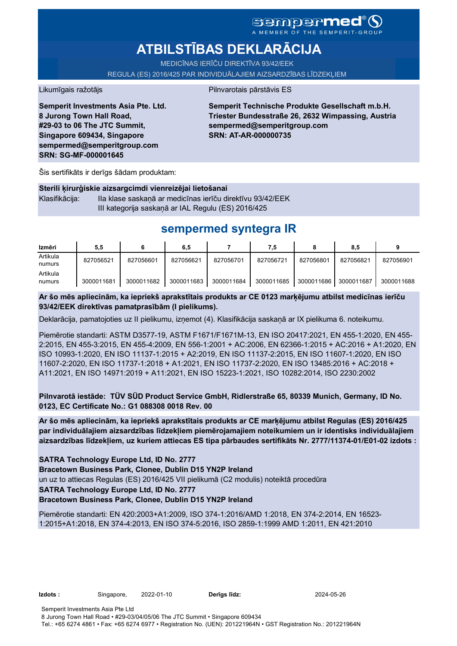# **ATBILSTĪBAS DEKLARĀCIJA**

MEDICĪNAS IERĪČU DIREKTĪVA 93/42/EEK REGULA (ES) 2016/425 PAR INDIVIDUĀLAJIEM AIZSARDZĪBAS LĪDZEKĻIEM

### Likumīgais ražotājs **Pilnvarotais pārstāvis ES**

**Semperit Investments Asia Pte. Ltd. 8 Jurong Town Hall Road, #29-03 to 06 The JTC Summit, Singapore 609434, Singapore sempermed@semperitgroup.com SRN: SG-MF-000001645**

**Semperit Technische Produkte Gesellschaft m.b.H. Triester Bundesstraße 26, 2632 Wimpassing, Austria sempermed@semperitgroup.com SRN: AT-AR-000000735**

Šis sertifikāts ir derīgs šādam produktam:

**Sterili ķirurģiskie aizsargcimdi vienreizējai lietošanai** Klasifikācija: IIa klase saskaņā ar medicīnas ierīču direktīvu 93/42/EEK III kategorija saskaņā ar IAL Regulu (ES) 2016/425

# **sempermed syntegra IR**

| Izmēri             | 5,5        |            | 6,5        |            | 7,5        |            | 8,5        |            |
|--------------------|------------|------------|------------|------------|------------|------------|------------|------------|
| Artikula<br>numurs | 827056521  | 827056601  | 827056621  | 827056701  | 827056721  | 827056801  | 827056821  | 827056901  |
| Artikula<br>numurs | 3000011681 | 3000011682 | 3000011683 | 3000011684 | 3000011685 | 3000011686 | 3000011687 | 3000011688 |

**Ar šo mēs apliecinām, ka iepriekš aprakstītais produkts ar CE 0123 marķējumu atbilst medicīnas ierīču 93/42/EEK direktīvas pamatprasībām (I pielikums).**

Deklarācija, pamatojoties uz II pielikumu, izņemot (4). Klasifikācija saskaņā ar IX pielikuma 6. noteikumu.

Piemērotie standarti: ASTM D3577-19, ASTM F1671/F1671M-13, EN ISO 20417:2021, EN 455-1:2020, EN 455- 2:2015, EN 455-3:2015, EN 455-4:2009, EN 556-1:2001 + AC:2006, EN 62366-1:2015 + AC:2016 + A1:2020, EN ISO 10993-1:2020, EN ISO 11137-1:2015 + A2:2019, EN ISO 11137-2:2015, EN ISO 11607-1:2020, EN ISO 11607-2:2020, EN ISO 11737-1:2018 + A1:2021, EN ISO 11737-2:2020, EN ISO 13485:2016 + AC:2018 + A11:2021, EN ISO 14971:2019 + A11:2021, EN ISO 15223-1:2021, ISO 10282:2014, ISO 2230:2002

**Pilnvarotā iestāde: TÜV SÜD Product Service GmbH, Ridlerstraße 65, 80339 Munich, Germany, ID No. 0123, EC Certificate No.: G1 088308 0018 Rev. 00** 

**Ar šo mēs apliecinām, ka iepriekš aprakstītais produkts ar CE marķējumu atbilst Regulas (ES) 2016/425 par individuālajiem aizsardzības līdzekļiem piemērojamajiem noteikumiem un ir identisks individuālajiem aizsardzības līdzekļiem, uz kuriem attiecas ES tipa pārbaudes sertifikāts Nr. 2777/11374-01/E01-02 izdots :**

**SATRA Technology Europe Ltd, ID No. 2777**

**Bracetown Business Park, Clonee, Dublin D15 YN2P Ireland**

un uz to attiecas Regulas (ES) 2016/425 VII pielikumā (C2 modulis) noteiktā procedūra

**SATRA Technology Europe Ltd, ID No. 2777**

**Bracetown Business Park, Clonee, Dublin D15 YN2P Ireland**

Piemērotie standarti: EN 420:2003+A1:2009, ISO 374-1:2016/AMD 1:2018, EN 374-2:2014, EN 16523- 1:2015+A1:2018, EN 374-4:2013, EN ISO 374-5:2016, ISO 2859-1:1999 AMD 1:2011, EN 421:2010

**Izdots :** Singapore, 2022-01-10 **Derīgs līdz:** 2024-05-26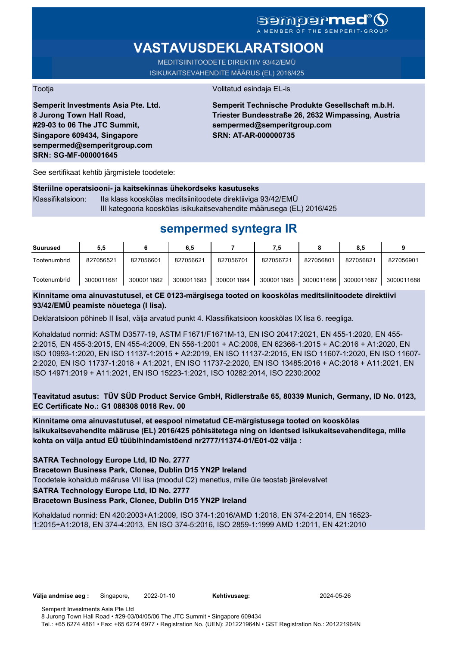## **sempermed** A MEMBER OF THE SEMPERIT-GROUP

# **VASTAVUSDEKLARATSIOON**

MEDITSIINITOODETE DIREKTIIV 93/42/EMÜ ISIKUKAITSEVAHENDITE MÄÄRUS (EL) 2016/425

Tootja Volitatud esindaja EL-is

**Semperit Investments Asia Pte. Ltd. 8 Jurong Town Hall Road, #29-03 to 06 The JTC Summit, Singapore 609434, Singapore sempermed@semperitgroup.com SRN: SG-MF-000001645**

**Semperit Technische Produkte Gesellschaft m.b.H. Triester Bundesstraße 26, 2632 Wimpassing, Austria sempermed@semperitgroup.com SRN: AT-AR-000000735**

See sertifikaat kehtib järgmistele toodetele:

### **Steriilne operatsiooni- ja kaitsekinnas ühekordseks kasutuseks**

Klassifikatsioon: IIa klass kooskõlas meditsiinitoodete direktiiviga 93/42/EMÜ III kategooria kooskõlas isikukaitsevahendite määrusega (EL) 2016/425

# **sempermed syntegra IR**

| <b>Suurused</b> | 5,5        |            | 6,5        |            | 7.5        |            | 8,5        |            |
|-----------------|------------|------------|------------|------------|------------|------------|------------|------------|
| Tootenumbrid    | 827056521  | 827056601  | 827056621  | 827056701  | 827056721  | 827056801  | 827056821  | 827056901  |
| Tootenumbrid    | 3000011681 | 3000011682 | 3000011683 | 3000011684 | 3000011685 | 3000011686 | 3000011687 | 3000011688 |

## **Kinnitame oma ainuvastutusel, et CE 0123-märgisega tooted on kooskõlas meditsiinitoodete direktiivi 93/42/EMÜ peamiste nõuetega (I lisa).**

Deklaratsioon põhineb II lisal, välja arvatud punkt 4. Klassifikatsioon kooskõlas IX lisa 6. reegliga.

Kohaldatud normid: ASTM D3577-19, ASTM F1671/F1671M-13, EN ISO 20417:2021, EN 455-1:2020, EN 455- 2:2015, EN 455-3:2015, EN 455-4:2009, EN 556-1:2001 + AC:2006, EN 62366-1:2015 + AC:2016 + A1:2020, EN ISO 10993-1:2020, EN ISO 11137-1:2015 + A2:2019, EN ISO 11137-2:2015, EN ISO 11607-1:2020, EN ISO 11607- 2:2020, EN ISO 11737-1:2018 + A1:2021, EN ISO 11737-2:2020, EN ISO 13485:2016 + AC:2018 + A11:2021, EN ISO 14971:2019 + A11:2021, EN ISO 15223-1:2021, ISO 10282:2014, ISO 2230:2002

**Teavitatud asutus: TÜV SÜD Product Service GmbH, Ridlerstraße 65, 80339 Munich, Germany, ID No. 0123, EC Certificate No.: G1 088308 0018 Rev. 00** 

**Kinnitame oma ainuvastutusel, et eespool nimetatud CE-märgistusega tooted on kooskõlas isikukaitsevahendite määruse (EL) 2016/425 põhisätetega ning on identsed isikukaitsevahenditega, mille kohta on välja antud EÜ tüübihindamistõend nr2777/11374-01/E01-02 välja :**

### **SATRA Technology Europe Ltd, ID No. 2777**

**Bracetown Business Park, Clonee, Dublin D15 YN2P Ireland**

Toodetele kohaldub määruse VII lisa (moodul C2) menetlus, mille üle teostab järelevalvet

### **SATRA Technology Europe Ltd, ID No. 2777**

**Bracetown Business Park, Clonee, Dublin D15 YN2P Ireland**

Kohaldatud normid: EN 420:2003+A1:2009, ISO 374-1:2016/AMD 1:2018, EN 374-2:2014, EN 16523- 1:2015+A1:2018, EN 374-4:2013, EN ISO 374-5:2016, ISO 2859-1:1999 AMD 1:2011, EN 421:2010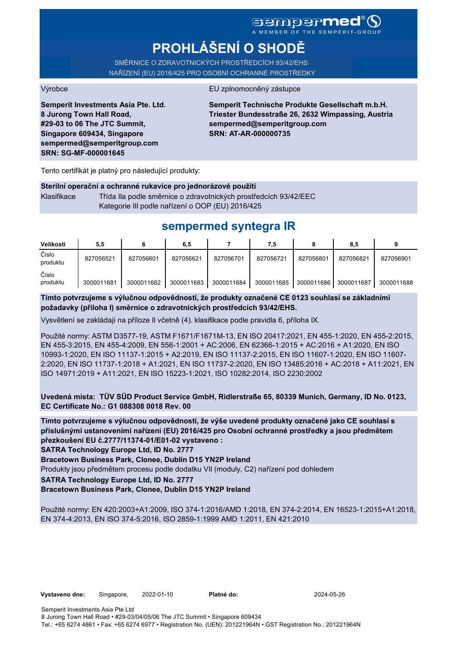# **PROHLÁŠENÍ O SHODĚ**

SMĚRNICE O ZDRAVOTNICKÝCH PROSTŘEDCÍCH 93/42/EHS NAŘÍZENÍ (EU) 2016/425 PRO OSOBNÍ OCHRANNÉ PROSTŘEDKY

Výrobce EU zplnomocněný zástupce

**Semperit Investments Asia Pte. Ltd. 8 Jurong Town Hall Road, #29-03 to 06 The JTC Summit, Singapore 609434, Singapore sempermed@semperitgroup.com SRN: SG-MF-000001645**

**Semperit Technische Produkte Gesellschaft m.b.H. Triester Bundesstraße 26, 2632 Wimpassing, Austria sempermed@semperitgroup.com SRN: AT-AR-000000735**

Tento certifikát je platný pro následující produkty:

### **Sterilní operační a ochranné rukavice pro jednorázové použití**

Klasifikace Třída IIa podle směrnice o zdravotnických prostředcích 93/42/EEC Kategorie III podle nařízení o OOP (EU) 2016/425

## **sempermed syntegra IR**

| Velikosti         | 5,5        |            | 6,5        |            | 7,5        |            | 8,5        |            |
|-------------------|------------|------------|------------|------------|------------|------------|------------|------------|
| Číslo<br>produktu | 827056521  | 827056601  | 827056621  | 827056701  | 827056721  | 827056801  | 827056821  | 827056901  |
| Číslo<br>produktu | 3000011681 | 3000011682 | 3000011683 | 3000011684 | 3000011685 | 3000011686 | 3000011687 | 3000011688 |

**Tímto potvrzujeme s výlučnou odpovědností, že produkty označené CE 0123 souhlasí se základními požadavky (příloha I) směrnice o zdravotnických prostředcích 93/42/EHS.**

Vysvětlení se zakládají na příloze II včetně (4). klasifikace podle pravidla 6, příloha IX.

Použité normy: ASTM D3577-19, ASTM F1671/F1671M-13, EN ISO 20417:2021, EN 455-1:2020, EN 455-2:2015, EN 455-3:2015, EN 455-4:2009, EN 556-1:2001 + AC:2006, EN 62366-1:2015 + AC:2016 + A1:2020, EN ISO 10993-1:2020, EN ISO 11137-1:2015 + A2:2019, EN ISO 11137-2:2015, EN ISO 11607-1:2020, EN ISO 11607- 2:2020, EN ISO 11737-1:2018 + A1:2021, EN ISO 11737-2:2020, EN ISO 13485:2016 + AC:2018 + A11:2021, EN ISO 14971:2019 + A11:2021, EN ISO 15223-1:2021, ISO 10282:2014, ISO 2230:2002

**Uvedená místa: TÜV SÜD Product Service GmbH, Ridlerstraße 65, 80339 Munich, Germany, ID No. 0123, EC Certificate No.: G1 088308 0018 Rev. 00** 

**Tímto potvrzujeme s výlučnou odpovědností, že výše uvedené produkty označené jako CE souhlasí s příslušnými ustanoveními nařízení (EU) 2016/425 pro Osobní ochranné prostředky a jsou předmětem přezkoušení EU č.2777/11374-01/E01-02 vystaveno :**

**SATRA Technology Europe Ltd, ID No. 2777**

**Bracetown Business Park, Clonee, Dublin D15 YN2P Ireland**

Produkty jsou předmětem procesu podle dodatku VII (moduly, C2) nařízení pod dohledem

**SATRA Technology Europe Ltd, ID No. 2777**

**Bracetown Business Park, Clonee, Dublin D15 YN2P Ireland**

Použité normy: EN 420:2003+A1:2009, ISO 374-1:2016/AMD 1:2018, EN 374-2:2014, EN 16523-1:2015+A1:2018, EN 374-4:2013, EN ISO 374-5:2016, ISO 2859-1:1999 AMD 1:2011, EN 421:2010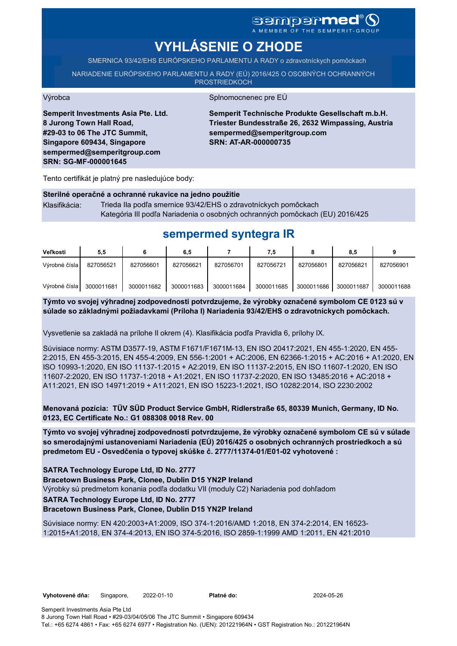# sempermed<sup>®</sup> ()

A MEMBER OF THE SEMPERIT-GROUP

# **VYHLÁSENIE O ZHODE**

SMERNICA 93/42/EHS EURÓPSKEHO PARLAMENTU A RADY o zdravotníckych pomôckach

NARIADENIE EURÓPSKEHO PARLAMENTU A RADY (EÚ) 2016/425 O OSOBNÝCH OCHRANNÝCH PROSTRIEDKOCH

#### Výrobca Splnomocnenec pre EÚ

**Semperit Investments Asia Pte. Ltd. 8 Jurong Town Hall Road, #29-03 to 06 The JTC Summit, Singapore 609434, Singapore sempermed@semperitgroup.com SRN: SG-MF-000001645**

**Semperit Technische Produkte Gesellschaft m.b.H. Triester Bundesstraße 26, 2632 Wimpassing, Austria sempermed@semperitgroup.com SRN: AT-AR-000000735**

Tento certifikát je platný pre nasledujúce body:

# **Sterilné operačné a ochranné rukavice na jedno použitie** Klasifikácia: Trieda IIa podľa smernice 93/42/EHS o zdravotníckych pomôckach

Kategória III podľa Nariadenia o osobných ochranných pomôckach (EU) 2016/425

# **sempermed syntegra IR**

| Veľkosti      | 5,5        |            | 6,5        |            | 7,5        |            | 8,5        |            |
|---------------|------------|------------|------------|------------|------------|------------|------------|------------|
| Výrobné čísla | 827056521  | 827056601  | 827056621  | 827056701  | 827056721  | 827056801  | 827056821  | 827056901  |
| Výrobné čísla | 3000011681 | 3000011682 | 3000011683 | 3000011684 | 3000011685 | 3000011686 | 3000011687 | 3000011688 |

## **Týmto vo svojej výhradnej zodpovednosti potvrdzujeme, že výrobky označené symbolom CE 0123 sú v súlade so základnými požiadavkami (Príloha I) Nariadenia 93/42/EHS o zdravotníckych pomôckach.**

Vysvetlenie sa zakladá na prílohe II okrem (4). Klasifikácia podľa Pravidla 6, prílohy IX.

Súvisiace normy: ASTM D3577-19, ASTM F1671/F1671M-13, EN ISO 20417:2021, EN 455-1:2020, EN 455- 2:2015, EN 455-3:2015, EN 455-4:2009, EN 556-1:2001 + AC:2006, EN 62366-1:2015 + AC:2016 + A1:2020, EN ISO 10993-1:2020, EN ISO 11137-1:2015 + A2:2019, EN ISO 11137-2:2015, EN ISO 11607-1:2020, EN ISO 11607-2:2020, EN ISO 11737-1:2018 + A1:2021, EN ISO 11737-2:2020, EN ISO 13485:2016 + AC:2018 + A11:2021, EN ISO 14971:2019 + A11:2021, EN ISO 15223-1:2021, ISO 10282:2014, ISO 2230:2002

**Menovaná pozícia: TÜV SÜD Product Service GmbH, Ridlerstraße 65, 80339 Munich, Germany, ID No. 0123, EC Certificate No.: G1 088308 0018 Rev. 00** 

**Týmto vo svojej výhradnej zodpovednosti potvrdzujeme, že výrobky označené symbolom CE sú v súlade so smerodajnými ustanoveniami Nariadenia (EÚ) 2016/425 o osobných ochranných prostriedkoch a sú predmetom EU - Osvedčenia o typovej skúške č. 2777/11374-01/E01-02 vyhotovené :**

**SATRA Technology Europe Ltd, ID No. 2777**

**Bracetown Business Park, Clonee, Dublin D15 YN2P Ireland**

Výrobky sú predmetom konania podľa dodatku VII (moduly C2) Nariadenia pod dohľadom

**SATRA Technology Europe Ltd, ID No. 2777**

**Bracetown Business Park, Clonee, Dublin D15 YN2P Ireland**

Súvisiace normy: EN 420:2003+A1:2009, ISO 374-1:2016/AMD 1:2018, EN 374-2:2014, EN 16523- 1:2015+A1:2018, EN 374-4:2013, EN ISO 374-5:2016, ISO 2859-1:1999 AMD 1:2011, EN 421:2010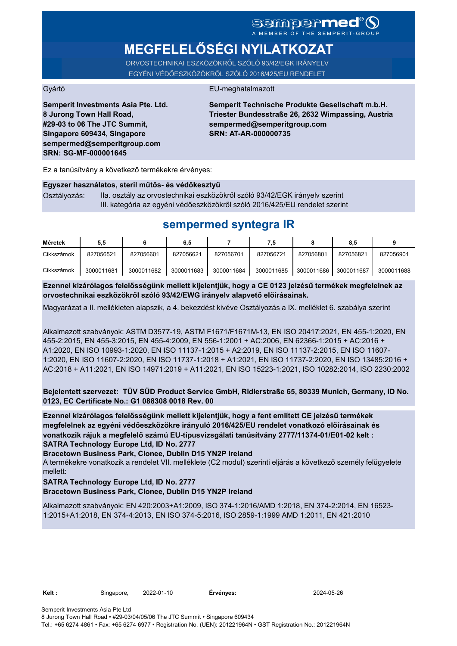# SGMDGPMEd®O

# **MEGFELELŐSÉGI NYILATKOZAT**

ORVOSTECHNIKAI ESZKÖZÖKRŐL SZÓLÓ 93/42/EGK IRÁNYELV EGYÉNI VÉDŐESZKÖZÖKRŐL SZÓLÓ 2016/425/EU RENDELET

### Gyártó EU-meghatalmazott

**Semperit Investments Asia Pte. Ltd. 8 Jurong Town Hall Road, #29-03 to 06 The JTC Summit, Singapore 609434, Singapore sempermed@semperitgroup.com SRN: SG-MF-000001645**

**Semperit Technische Produkte Gesellschaft m.b.H. Triester Bundesstraße 26, 2632 Wimpassing, Austria sempermed@semperitgroup.com SRN: AT-AR-000000735**

Ez a tanúsítvány a következő termékekre érvényes:

#### **Egyszer használatos, steril műtős- és védőkesztyű**

Osztályozás: IIa. osztály az orvostechnikai eszközökről szóló 93/42/EGK irányelv szerint III. kategória az egyéni védőeszközökről szóló 2016/425/EU rendelet szerint

# **sempermed syntegra IR**

| Méretek    | 5,5        |            | 6,5        |            | 7,5        |            | 8,5        |            |
|------------|------------|------------|------------|------------|------------|------------|------------|------------|
| Cikkszámok | 827056521  | 827056601  | 827056621  | 827056701  | 827056721  | 827056801  | 827056821  | 827056901  |
| Cikkszámok | 3000011681 | 3000011682 | 3000011683 | 3000011684 | 3000011685 | 3000011686 | 3000011687 | 3000011688 |

**Ezennel kizárólagos felelősségünk mellett kijelentjük, hogy a CE 0123 jelzésű termékek megfelelnek az orvostechnikai eszközökről szóló 93/42/EWG irányelv alapvető előírásainak.**

Magyarázat a II. mellékleten alapszik, a 4. bekezdést kivéve Osztályozás a IX. melléklet 6. szabálya szerint

Alkalmazott szabványok: ASTM D3577-19, ASTM F1671/F1671M-13, EN ISO 20417:2021, EN 455-1:2020, EN 455-2:2015, EN 455-3:2015, EN 455-4:2009, EN 556-1:2001 + AC:2006, EN 62366-1:2015 + AC:2016 + A1:2020, EN ISO 10993-1:2020, EN ISO 11137-1:2015 + A2:2019, EN ISO 11137-2:2015, EN ISO 11607- 1:2020, EN ISO 11607-2:2020, EN ISO 11737-1:2018 + A1:2021, EN ISO 11737-2:2020, EN ISO 13485:2016 + AC:2018 + A11:2021, EN ISO 14971:2019 + A11:2021, EN ISO 15223-1:2021, ISO 10282:2014, ISO 2230:2002

**Bejelentett szervezet: TÜV SÜD Product Service GmbH, Ridlerstraße 65, 80339 Munich, Germany, ID No. 0123, EC Certificate No.: G1 088308 0018 Rev. 00** 

**SATRA Technology Europe Ltd, ID No. 2777 Ezennel kizárólagos felelősségünk mellett kijelentjük, hogy a fent említett CE jelzésű termékek megfelelnek az egyéni védőeszközökre irányuló 2016/425/EU rendelet vonatkozó előírásainak és vonatkozik rájuk a megfelelő számú EU-típusvizsgálati tanúsítvány 2777/11374-01/E01-02 kelt :**

**Bracetown Business Park, Clonee, Dublin D15 YN2P Ireland**

A termékekre vonatkozik a rendelet VII. melléklete (C2 modul) szerinti eljárás a következő személy felügyelete mellett:

#### **SATRA Technology Europe Ltd, ID No. 2777 Bracetown Business Park, Clonee, Dublin D15 YN2P Ireland**

Alkalmazott szabványok: EN 420:2003+A1:2009, ISO 374-1:2016/AMD 1:2018, EN 374-2:2014, EN 16523- 1:2015+A1:2018, EN 374-4:2013, EN ISO 374-5:2016, ISO 2859-1:1999 AMD 1:2011, EN 421:2010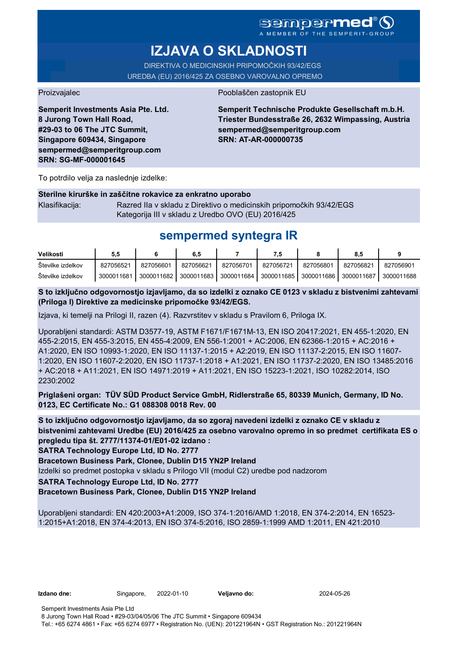A MEMBER OF THE SEMPERIT-GROUP

# **IZJAVA O SKLADNOSTI**

DIREKTIVA O MEDICINSKIH PRIPOMOČKIH 93/42/EGS UREDBA (EU) 2016/425 ZA OSEBNO VAROVALNO OPREMO

Proizvajalec Pooblaščen zastopnik EU

**Semperit Investments Asia Pte. Ltd. 8 Jurong Town Hall Road, #29-03 to 06 The JTC Summit, Singapore 609434, Singapore sempermed@semperitgroup.com SRN: SG-MF-000001645**

## **Semperit Technische Produkte Gesellschaft m.b.H. Triester Bundesstraße 26, 2632 Wimpassing, Austria sempermed@semperitgroup.com SRN: AT-AR-000000735**

To potrdilo velja za naslednje izdelke:

### **Sterilne kirurške in zaščitne rokavice za enkratno uporabo**

Klasifikacija: Razred IIa v skladu z Direktivo o medicinskih pripomočkih 93/42/EGS Kategorija III v skladu z Uredbo OVO (EU) 2016/425

# **sempermed syntegra IR**

| Velikosti         | 5.5        |            | 6.5        |            |            |            | 8.5        |            |
|-------------------|------------|------------|------------|------------|------------|------------|------------|------------|
| Stevilke izdelkov | 827056521  | 827056601  | 827056621  | 827056701  | 827056721  | 827056801  | 827056821  | 827056901  |
| Stevilke izdelkov | 3000011681 | 3000011682 | 3000011683 | 3000011684 | 3000011685 | 3000011686 | 3000011687 | 3000011688 |

**S to izključno odgovornostjo izjavljamo, da so izdelki z oznako CE 0123 v skladu z bistvenimi zahtevami (Priloga I) Direktive za medicinske pripomočke 93/42/EGS.**

Izjava, ki temelji na Prilogi II, razen (4). Razvrstitev v skladu s Pravilom 6, Priloga IX.

Uporabljeni standardi: ASTM D3577-19, ASTM F1671/F1671M-13, EN ISO 20417:2021, EN 455-1:2020, EN 455-2:2015, EN 455-3:2015, EN 455-4:2009, EN 556-1:2001 + AC:2006, EN 62366-1:2015 + AC:2016 + A1:2020, EN ISO 10993-1:2020, EN ISO 11137-1:2015 + A2:2019, EN ISO 11137-2:2015, EN ISO 11607- 1:2020, EN ISO 11607-2:2020, EN ISO 11737-1:2018 + A1:2021, EN ISO 11737-2:2020, EN ISO 13485:2016 + AC:2018 + A11:2021, EN ISO 14971:2019 + A11:2021, EN ISO 15223-1:2021, ISO 10282:2014, ISO 2230:2002

**Priglašeni organ: TÜV SÜD Product Service GmbH, Ridlerstraße 65, 80339 Munich, Germany, ID No. 0123, EC Certificate No.: G1 088308 0018 Rev. 00** 

**S to izključno odgovornostjo izjavljamo, da so zgoraj navedeni izdelki z oznako CE v skladu z bistvenimi zahtevami Uredbe (EU) 2016/425 za osebno varovalno opremo in so predmet certifikata ES o pregledu tipa št. 2777/11374-01/E01-02 izdano :**

**SATRA Technology Europe Ltd, ID No. 2777**

**Bracetown Business Park, Clonee, Dublin D15 YN2P Ireland**

Izdelki so predmet postopka v skladu s Prilogo VII (modul C2) uredbe pod nadzorom

**SATRA Technology Europe Ltd, ID No. 2777**

**Bracetown Business Park, Clonee, Dublin D15 YN2P Ireland**

Uporabljeni standardi: EN 420:2003+A1:2009, ISO 374-1:2016/AMD 1:2018, EN 374-2:2014, EN 16523- 1:2015+A1:2018, EN 374-4:2013, EN ISO 374-5:2016, ISO 2859-1:1999 AMD 1:2011, EN 421:2010

**Izdano dne:** Singapore, 2022-01-10 **Veljavno do:** 2024-05-26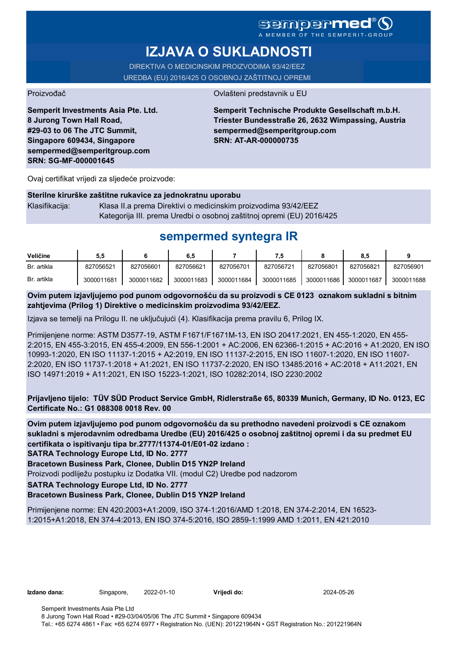## Sempermer A MEMBER OF THE SEMPERIT-GROUP

# **IZJAVA O SUKLADNOSTI**

DIREKTIVA O MEDICINSKIM PROIZVODIMA 93/42/EEZ UREDBA (EU) 2016/425 O OSOBNOJ ZAŠTITNOJ OPREMI

Proizvođač **Ovlašteni predstavnik u EU** 

**Semperit Investments Asia Pte. Ltd. 8 Jurong Town Hall Road, #29-03 to 06 The JTC Summit, Singapore 609434, Singapore sempermed@semperitgroup.com SRN: SG-MF-000001645**

**Semperit Technische Produkte Gesellschaft m.b.H. Triester Bundesstraße 26, 2632 Wimpassing, Austria sempermed@semperitgroup.com SRN: AT-AR-000000735**

Ovaj certifikat vrijedi za sljedeće proizvode:

|                | Sterilne kirurške zaštitne rukavice za jednokratnu uporabu            |
|----------------|-----------------------------------------------------------------------|
| Klasifikacija: | Klasa II.a prema Direktivi o medicinskim proizvodima 93/42/EEZ        |
|                | Kategorija III. prema Uredbi o osobnoj zaštitnoj opremi (EU) 2016/425 |

# **sempermed syntegra IR**

| Veličine    | 5,5        |            | 6,5        |            | ٠.         |            | 8.5        |            |
|-------------|------------|------------|------------|------------|------------|------------|------------|------------|
| Br. artikla | 827056521  | 827056601  | 827056621  | 827056701  | 827056721  | 827056801  | 827056821  | 827056901  |
| Br. artikla | 3000011681 | 3000011682 | 3000011683 | 3000011684 | 3000011685 | 3000011686 | 3000011687 | 3000011688 |

**Ovim putem izjavljujemo pod punom odgovornošću da su proizvodi s CE 0123 oznakom sukladni s bitnim zahtjevima (Prilog 1) Direktive o medicinskim proizvodima 93/42/EEZ.**

Izjava se temelji na Prilogu II. ne uključujući (4). Klasifikacija prema pravilu 6, Prilog IX.

Primijenjene norme: ASTM D3577-19, ASTM F1671/F1671M-13, EN ISO 20417:2021, EN 455-1:2020, EN 455- 2:2015, EN 455-3:2015, EN 455-4:2009, EN 556-1:2001 + AC:2006, EN 62366-1:2015 + AC:2016 + A1:2020, EN ISO 10993-1:2020, EN ISO 11137-1:2015 + A2:2019, EN ISO 11137-2:2015, EN ISO 11607-1:2020, EN ISO 11607- 2:2020, EN ISO 11737-1:2018 + A1:2021, EN ISO 11737-2:2020, EN ISO 13485:2016 + AC:2018 + A11:2021, EN ISO 14971:2019 + A11:2021, EN ISO 15223-1:2021, ISO 10282:2014, ISO 2230:2002

**Prijavljeno tijelo: TÜV SÜD Product Service GmbH, Ridlerstraße 65, 80339 Munich, Germany, ID No. 0123, EC Certificate No.: G1 088308 0018 Rev. 00** 

**Ovim putem izjavljujemo pod punom odgovornošću da su prethodno navedeni proizvodi s CE oznakom sukladni s mjerodavnim odredbama Uredbe (EU) 2016/425 o osobnoj zaštitnoj opremi i da su predmet EU certifikata o ispitivanju tipa br.2777/11374-01/E01-02 izdano :**

**SATRA Technology Europe Ltd, ID No. 2777**

**Bracetown Business Park, Clonee, Dublin D15 YN2P Ireland**

Proizvodi podliježu postupku iz Dodatka VII. (modul C2) Uredbe pod nadzorom

**SATRA Technology Europe Ltd, ID No. 2777**

**Bracetown Business Park, Clonee, Dublin D15 YN2P Ireland**

Primijenjene norme: EN 420:2003+A1:2009, ISO 374-1:2016/AMD 1:2018, EN 374-2:2014, EN 16523- 1:2015+A1:2018, EN 374-4:2013, EN ISO 374-5:2016, ISO 2859-1:1999 AMD 1:2011, EN 421:2010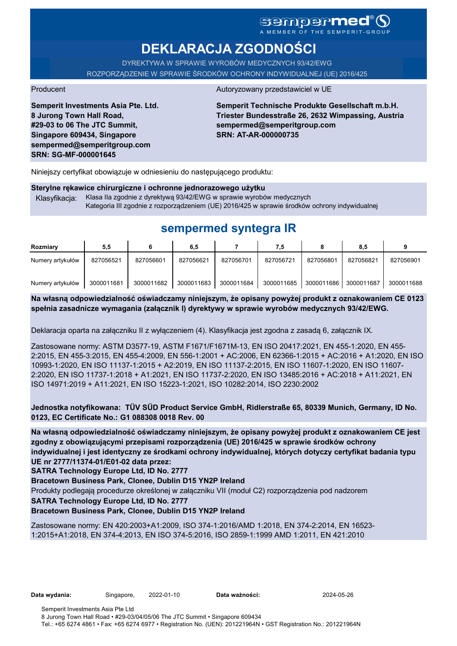# **DEKLARACJA ZGODNOŚCI**

DYREKTYWA W SPRAWIE WYROBÓW MEDYCZNYCH 93/42/EWG ROZPORZĄDZENIE W SPRAWIE ŚRODKÓW OCHRONY INDYWIDUALNEJ (UE) 2016/425

**Semperit Investments Asia Pte. Ltd. 8 Jurong Town Hall Road, #29-03 to 06 The JTC Summit, Singapore 609434, Singapore sempermed@semperitgroup.com SRN: SG-MF-000001645**

### Producent Autoryzowany przedstawiciel w UE

**Semperit Technische Produkte Gesellschaft m.b.H. Triester Bundesstraße 26, 2632 Wimpassing, Austria sempermed@semperitgroup.com SRN: AT-AR-000000735**

Niniejszy certyfikat obowiązuje w odniesieniu do następującego produktu:

## **Sterylne rękawice chirurgiczne i ochronne jednorazowego użytku**

Klasyfikacja: Klasa IIa zgodnie z dyrektywą 93/42/EWG w sprawie wyrobów medycznych Kategoria III zgodnie z rozporządzeniem (UE) 2016/425 w sprawie środków ochrony indywidualnej

# **sempermed syntegra IR**

| Rozmiary         | 5,5        |            | 6.5        |            | 7,5        |            | 8.5        |            |
|------------------|------------|------------|------------|------------|------------|------------|------------|------------|
| Numery artykułów | 827056521  | 827056601  | 827056621  | 827056701  | 827056721  | 827056801  | 827056821  | 827056901  |
| Numery artykułów | 3000011681 | 3000011682 | 3000011683 | 3000011684 | 3000011685 | 3000011686 | 3000011687 | 3000011688 |

**Na własną odpowiedzialność oświadczamy niniejszym, że opisany powyżej produkt z oznakowaniem CE 0123 spełnia zasadnicze wymagania (załącznik I) dyrektywy w sprawie wyrobów medycznych 93/42/EWG.**

Deklaracja oparta na załączniku II z wyłączeniem (4). Klasyfikacja jest zgodna z zasadą 6, załącznik IX.

Zastosowane normy: ASTM D3577-19, ASTM F1671/F1671M-13, EN ISO 20417:2021, EN 455-1:2020, EN 455- 2:2015, EN 455-3:2015, EN 455-4:2009, EN 556-1:2001 + AC:2006, EN 62366-1:2015 + AC:2016 + A1:2020, EN ISO 10993-1:2020, EN ISO 11137-1:2015 + A2:2019, EN ISO 11137-2:2015, EN ISO 11607-1:2020, EN ISO 11607- 2:2020, EN ISO 11737-1:2018 + A1:2021, EN ISO 11737-2:2020, EN ISO 13485:2016 + AC:2018 + A11:2021, EN ISO 14971:2019 + A11:2021, EN ISO 15223-1:2021, ISO 10282:2014, ISO 2230:2002

**Jednostka notyfikowana: TÜV SÜD Product Service GmbH, Ridlerstraße 65, 80339 Munich, Germany, ID No. 0123, EC Certificate No.: G1 088308 0018 Rev. 00** 

**Na własną odpowiedzialność oświadczamy niniejszym, że opisany powyżej produkt z oznakowaniem CE jest zgodny z obowiązującymi przepisami rozporządzenia (UE) 2016/425 w sprawie środków ochrony indywidualnej i jest identyczny ze środkami ochrony indywidualnej, których dotyczy certyfikat badania typu UE nr 2777/11374-01/E01-02 data przez:**

**SATRA Technology Europe Ltd, ID No. 2777**

**Bracetown Business Park, Clonee, Dublin D15 YN2P Ireland**

Produkty podlegają procedurze określonej w załączniku VII (moduł C2) rozporządzenia pod nadzorem

**SATRA Technology Europe Ltd, ID No. 2777**

### **Bracetown Business Park, Clonee, Dublin D15 YN2P Ireland**

Zastosowane normy: EN 420:2003+A1:2009, ISO 374-1:2016/AMD 1:2018, EN 374-2:2014, EN 16523- 1:2015+A1:2018, EN 374-4:2013, EN ISO 374-5:2016, ISO 2859-1:1999 AMD 1:2011, EN 421:2010

**Data wydania:** Singapore, 2022-01-10 **Data ważności:** 2024-05-26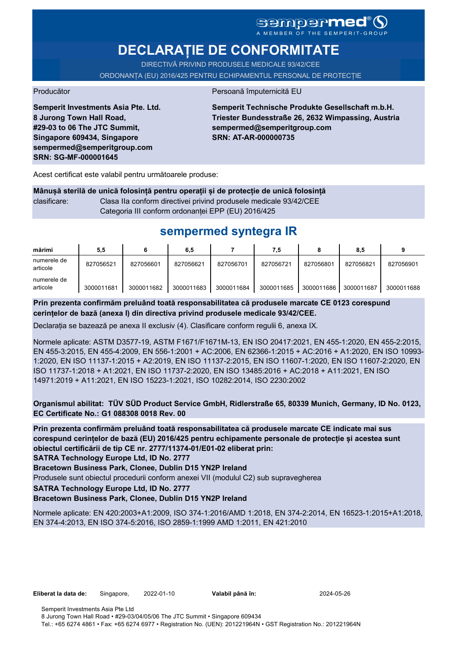# SCMDCP**MCC**®Q

# **DECLARAȚIE DE CONFORMITATE**

DIRECTIVĂ PRIVIND PRODUSELE MEDICALE 93/42/CEE ORDONANȚA (EU) 2016/425 PENTRU ECHIPAMENTUL PERSONAL DE PROTECȚIE

Producător Persoană împuternicită EU

**Semperit Investments Asia Pte. Ltd. 8 Jurong Town Hall Road, #29-03 to 06 The JTC Summit, Singapore 609434, Singapore sempermed@semperitgroup.com SRN: SG-MF-000001645**

**Semperit Technische Produkte Gesellschaft m.b.H. Triester Bundesstraße 26, 2632 Wimpassing, Austria sempermed@semperitgroup.com SRN: AT-AR-000000735**

Acest certificat este valabil pentru următoarele produse:

**Mânușă sterilă de unică folosință pentru operații și de protecție de unică folosință** clasificare: Clasa IIa conform directivei privind produsele medicale 93/42/CEE Categoria III conform ordonanței EPP (EU) 2016/425

# **sempermed syntegra IR**

| mărimi                  | 5,5        |            | 6,5        |            | 7.5        |            | 8.5        |            |
|-------------------------|------------|------------|------------|------------|------------|------------|------------|------------|
| numerele de<br>articole | 827056521  | 827056601  | 827056621  | 827056701  | 827056721  | 827056801  | 827056821  | 827056901  |
| numerele de<br>articole | 3000011681 | 3000011682 | 3000011683 | 3000011684 | 3000011685 | 3000011686 | 3000011687 | 3000011688 |

**Prin prezenta confirmăm preluând toată responsabilitatea că produsele marcate CE 0123 corespund cerințelor de bază (anexa I) din directiva privind produsele medicale 93/42/CEE.**

Declarația se bazează pe anexa II exclusiv (4). Clasificare conform regulii 6, anexa IX.

Normele aplicate: ASTM D3577-19, ASTM F1671/F1671M-13, EN ISO 20417:2021, EN 455-1:2020, EN 455-2:2015, EN 455-3:2015, EN 455-4:2009, EN 556-1:2001 + AC:2006, EN 62366-1:2015 + AC:2016 + A1:2020, EN ISO 10993- 1:2020, EN ISO 11137-1:2015 + A2:2019, EN ISO 11137-2:2015, EN ISO 11607-1:2020, EN ISO 11607-2:2020, EN ISO 11737-1:2018 + A1:2021, EN ISO 11737-2:2020, EN ISO 13485:2016 + AC:2018 + A11:2021, EN ISO 14971:2019 + A11:2021, EN ISO 15223-1:2021, ISO 10282:2014, ISO 2230:2002

**Organismul abilitat: TÜV SÜD Product Service GmbH, Ridlerstraße 65, 80339 Munich, Germany, ID No. 0123, EC Certificate No.: G1 088308 0018 Rev. 00** 

**Prin prezenta confirmăm preluând toată responsabilitatea că produsele marcate CE indicate mai sus corespund cerințelor de bază (EU) 2016/425 pentru echipamente personale de protecție și acestea sunt obiectul certificării de tip CE nr. 2777/11374-01/E01-02 eliberat prin:**

**SATRA Technology Europe Ltd, ID No. 2777**

**Bracetown Business Park, Clonee, Dublin D15 YN2P Ireland**

Produsele sunt obiectul procedurii conform anexei VII (modulul C2) sub supravegherea

**SATRA Technology Europe Ltd, ID No. 2777**

**Bracetown Business Park, Clonee, Dublin D15 YN2P Ireland**

Normele aplicate: EN 420:2003+A1:2009, ISO 374-1:2016/AMD 1:2018, EN 374-2:2014, EN 16523-1:2015+A1:2018, EN 374-4:2013, EN ISO 374-5:2016, ISO 2859-1:1999 AMD 1:2011, EN 421:2010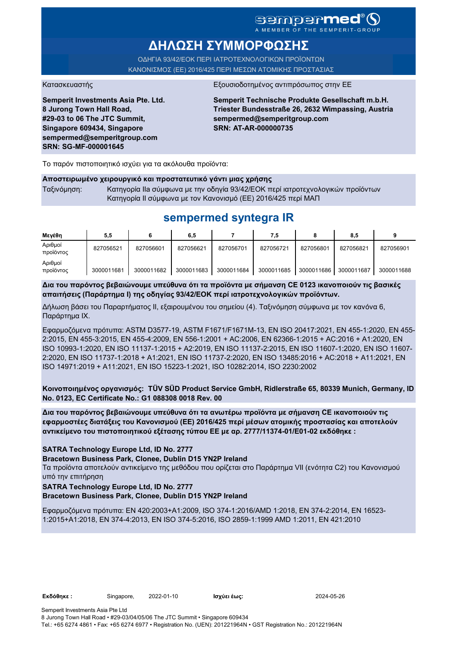# sempermed<sup>®</sup>(S

A MEMBER OF THE SEMPERI

# **ΔΗΛΩΣΗ ΣΥΜΜΟΡΦΩΣΗΣ**

ΟΔΗΓΙΑ 93/42/ΕΟΚ ΠΕΡΙ ΙΑΤΡΟΤΕΧΝΟΛΟΓΙΚΩΝ ΠΡΟΪΟΝΤΩΝ ΚΑΝΟΝΙΣΜΟΣ (ΕΕ) 2016/425 ΠΕΡΙ ΜΕΣΩΝ ΑΤΟΜΙΚΗΣ ΠΡΟΣΤΑΣΙΑΣ

**Semperit Investments Asia Pte. Ltd. 8 Jurong Town Hall Road, #29-03 to 06 The JTC Summit, Singapore 609434, Singapore sempermed@semperitgroup.com SRN: SG-MF-000001645**

#### Κατασκευαστής Εξουσιοδοτημένος αντιπρόσωπος στην ΕΕ

**Semperit Technische Produkte Gesellschaft m.b.H. Triester Bundesstraße 26, 2632 Wimpassing, Austria sempermed@semperitgroup.com SRN: AT-AR-000000735**

Το παρόν πιστοποιητικό ισχύει για τα ακόλουθα προϊόντα:

#### **Αποστειρωμένο χειρουργικό και προστατευτικό γάντι μιας χρήσης**

Ταξινόμηση: Κατηγορία IIa σύμφωνα με την οδηγία 93/42/ΕΟΚ περί ιατροτεχνολογικών προϊόντων Κατηγορία II σύμφωνα με τον Κανονισμό (ΕΕ) 2016/425 περί ΜΑΠ

# **sempermed syntegra IR**

| Μενέθη               | 5,5        |            | 6,5        |            | 7.5        |            | 8,5        |            |
|----------------------|------------|------------|------------|------------|------------|------------|------------|------------|
| Αριθμοί<br>προϊόντος | 827056521  | 827056601  | 827056621  | 827056701  | 827056721  | 827056801  | 827056821  | 827056901  |
| Αριθμοί<br>προϊόντος | 3000011681 | 3000011682 | 3000011683 | 3000011684 | 3000011685 | 3000011686 | 3000011687 | 3000011688 |

**Δια του παρόντος βεβαιώνουμε υπεύθυνα ότι τα προϊόντα με σήμανση CE 0123 ικανοποιούν τις βασικές απαιτήσεις (Παράρτημα I) της οδηγίας 93/42/ΕΟΚ περί ιατροτεχνολογικών προϊόντων.**

Δήλωση βάσει του Παραρτήματος II, εξαιρουμένου του σημείου (4). Ταξινόμηση σύμφωνα με τον κανόνα 6, Παράρτημα IX.

Εφαρμοζόμενα πρότυπα: ASTM D3577-19, ASTM F1671/F1671M-13, EN ISO 20417:2021, EN 455-1:2020, EN 455- 2:2015, EN 455-3:2015, EN 455-4:2009, EN 556-1:2001 + AC:2006, EN 62366-1:2015 + AC:2016 + A1:2020, EN ISO 10993-1:2020, EN ISO 11137-1:2015 + A2:2019, EN ISO 11137-2:2015, EN ISO 11607-1:2020, EN ISO 11607- 2:2020, EN ISO 11737-1:2018 + A1:2021, EN ISO 11737-2:2020, EN ISO 13485:2016 + AC:2018 + A11:2021, EN ISO 14971:2019 + A11:2021, EN ISO 15223-1:2021, ISO 10282:2014, ISO 2230:2002

**Κοινοποιημένος οργανισμός: TÜV SÜD Product Service GmbH, Ridlerstraße 65, 80339 Munich, Germany, ID No. 0123, EC Certificate No.: G1 088308 0018 Rev. 00** 

**Δια του παρόντος βεβαιώνουμε υπεύθυνα ότι τα ανωτέρω προϊόντα με σήμανση CE ικανοποιούν τις εφαρμοστέες διατάξεις του Κανονισμού (ΕΕ) 2016/425 περί μέσων ατομικής προστασίας και αποτελούν αντικείμενο του πιστοποιητικού εξέτασης τύπου ΕΕ με αρ. 2777/11374-01/E01-02 εκδόθηκε :**

**SATRA Technology Europe Ltd, ID No. 2777**

#### **Bracetown Business Park, Clonee, Dublin D15 YN2P Ireland**

Τα προϊόντα αποτελούν αντικείμενο της μεθόδου που ορίζεται στο Παράρτημα VII (ενότητα C2) του Κανονισμού υπό την επιτήρηση

**SATRA Technology Europe Ltd, ID No. 2777**

**Bracetown Business Park, Clonee, Dublin D15 YN2P Ireland**

Εφαρμοζόμενα πρότυπα: EN 420:2003+A1:2009, ISO 374-1:2016/AMD 1:2018, EN 374-2:2014, EN 16523- 1:2015+A1:2018, EN 374-4:2013, EN ISO 374-5:2016, ISO 2859-1:1999 AMD 1:2011, EN 421:2010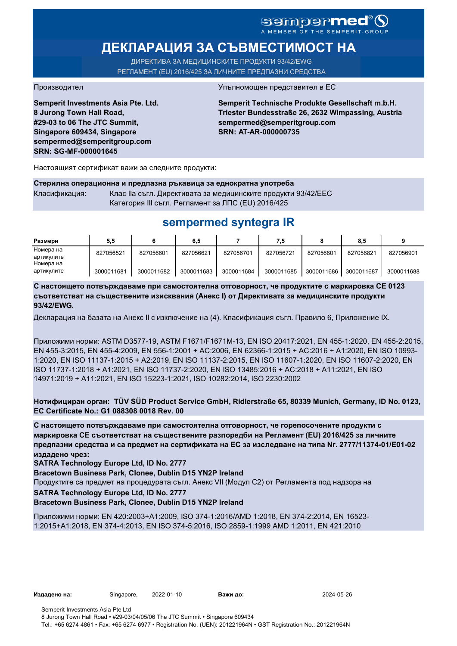# SOMPOPMED<sup>®</sup>O

# **ДЕКЛАРАЦИЯ ЗА СЪВМЕСТИМОСТ НА**

ДИРЕКТИВА ЗА МЕДИЦИНСКИТЕ ПРОДУКТИ 93/42/EWG РЕГЛАМЕНТ (EU) 2016/425 ЗА ЛИЧНИТЕ ПРЕДПАЗНИ СРЕДСТВА

**Semperit Investments Asia Pte. Ltd. 8 Jurong Town Hall Road, #29-03 to 06 The JTC Summit, Singapore 609434, Singapore sempermed@semperitgroup.com SRN: SG-MF-000001645**

#### Производител Упълномощен представител в ЕС

**Semperit Technische Produkte Gesellschaft m.b.H. Triester Bundesstraße 26, 2632 Wimpassing, Austria sempermed@semperitgroup.com SRN: AT-AR-000000735**

Настоящият сертификат важи за следните продукти:

#### **Стерилна операционна и предпазна ръкавица за еднократна употреба** Класификация: Клас IIa съгл. Директивата за медицинските продукти 93/42/EEC

Категория III съгл. Регламент за ЛПС (EU) 2016/425

# **sempermed syntegra IR**

| Размери    | 5.5        |            | 6,5        |            | 7.5        |            | 8.5        |            |
|------------|------------|------------|------------|------------|------------|------------|------------|------------|
| Номера на  | 827056521  | 827056601  | 827056621  | 827056701  | 827056721  | 827056801  | 827056821  | 827056901  |
| артикулите |            |            |            |            |            |            |            |            |
| Номера на  |            |            |            |            |            |            |            |            |
| артикулите | 3000011681 | 3000011682 | 3000011683 | 3000011684 | 3000011685 | 3000011686 | 3000011687 | 3000011688 |

**С настоящето потвърждаваме при самостоятелна отговорност, че продуктите с маркировка СЕ 0123 съответстват на съществените изисквания (Анекс I) от Директивата за медицинските продукти 93/42/EWG.**

Декларация на базата на Анекс II с изключение на (4). Класификация съгл. Правило 6, Приложение IX.

Приложими норми: ASTM D3577-19, ASTM F1671/F1671M-13, EN ISO 20417:2021, EN 455-1:2020, EN 455-2:2015, EN 455-3:2015, EN 455-4:2009, EN 556-1:2001 + AC:2006, EN 62366-1:2015 + AC:2016 + A1:2020, EN ISO 10993- 1:2020, EN ISO 11137-1:2015 + A2:2019, EN ISO 11137-2:2015, EN ISO 11607-1:2020, EN ISO 11607-2:2020, EN ISO 11737-1:2018 + A1:2021, EN ISO 11737-2:2020, EN ISO 13485:2016 + AC:2018 + A11:2021, EN ISO 14971:2019 + A11:2021, EN ISO 15223-1:2021, ISO 10282:2014, ISO 2230:2002

**Нотифициран орган: TÜV SÜD Product Service GmbH, Ridlerstraße 65, 80339 Munich, Germany, ID No. 0123, EC Certificate No.: G1 088308 0018 Rev. 00** 

**С настоящето потвърждаваме при самостоятелна отговорност, че горепосочените продукти с маркировка СЕ съответстват на съществените разпоредби на Регламент (EU) 2016/425 за личните предпазни средства и са предмет на сертификата на ЕС за изследване на типа Nr. 2777/11374-01/E01-02 издадено чрез:**

**SATRA Technology Europe Ltd, ID No. 2777**

**Bracetown Business Park, Clonee, Dublin D15 YN2P Ireland**

Продуктите са предмет на процедурата съгл. Анекс VII (Модул С2) от Регламента под надзора на

**SATRA Technology Europe Ltd, ID No. 2777**

**Bracetown Business Park, Clonee, Dublin D15 YN2P Ireland**

Приложими норми: EN 420:2003+A1:2009, ISO 374-1:2016/AMD 1:2018, EN 374-2:2014, EN 16523- 1:2015+A1:2018, EN 374-4:2013, EN ISO 374-5:2016, ISO 2859-1:1999 AMD 1:2011, EN 421:2010

**Издадено на:** Singapore, 2022-01-10 **Важи до:** 2024-05-26